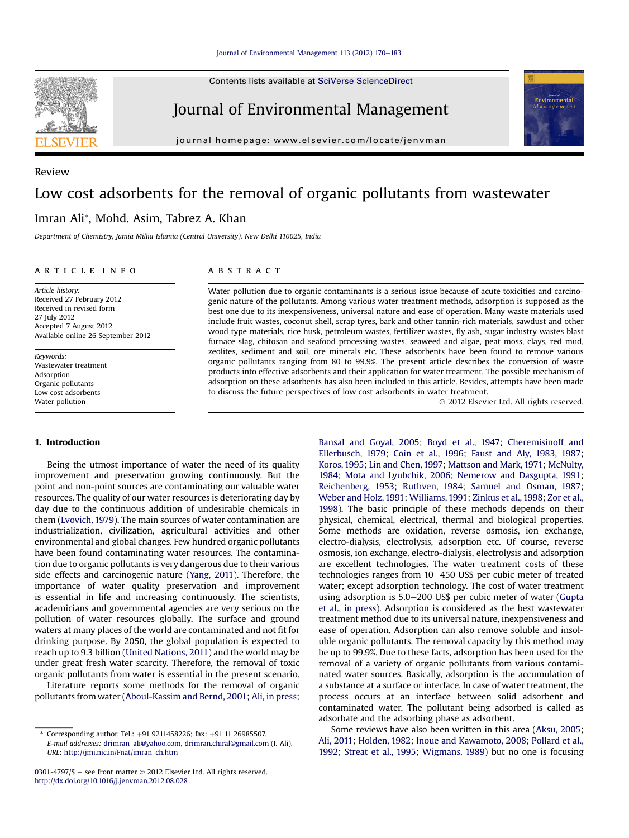Contents lists available at SciVerse ScienceDirect

Review

## Journal of Environmental Management

journal homepage: [www.elsevier.com/locate/jenvman](http://www.elsevier.com/locate/jenvman)

# Low cost adsorbents for the removal of organic pollutants from wastewater

### Imran Ali\*, Mohd. Asim, Tabrez A. Khan

Department of Chemistry, Jamia Millia Islamia (Central University), New Delhi 110025, India

#### article info

Article history: Received 27 February 2012 Received in revised form 27 July 2012 Accepted 7 August 2012 Available online 26 September 2012

Keywords: Wastewater treatment Adsorption Organic pollutants Low cost adsorbents Water pollution

#### 1. Introduction

Being the utmost importance of water the need of its quality improvement and preservation growing continuously. But the point and non-point sources are contaminating our valuable water resources. The quality of our water resources is deteriorating day by day due to the continuous addition of undesirable chemicals in them ([Lvovich, 1979](#page-12-0)). The main sources of water contamination are industrialization, civilization, agricultural activities and other environmental and global changes. Few hundred organic pollutants have been found contaminating water resources. The contamination due to organic pollutants is very dangerous due to their various side effects and carcinogenic nature ([Yang, 2011](#page-13-0)). Therefore, the importance of water quality preservation and improvement is essential in life and increasing continuously. The scientists, academicians and governmental agencies are very serious on the pollution of water resources globally. The surface and ground waters at many places of the world are contaminated and not fit for drinking purpose. By 2050, the global population is expected to reach up to 9.3 billion [\(United Nations, 2011](#page-13-0)) and the world may be under great fresh water scarcity. Therefore, the removal of toxic organic pollutants from water is essential in the present scenario.

Literature reports some methods for the removal of organic pollutants from water ([Aboul-Kassim and Bernd, 2001;](#page-10-0) [Ali, in press](#page-10-0);

#### **ABSTRACT**

Water pollution due to organic contaminants is a serious issue because of acute toxicities and carcinogenic nature of the pollutants. Among various water treatment methods, adsorption is supposed as the best one due to its inexpensiveness, universal nature and ease of operation. Many waste materials used include fruit wastes, coconut shell, scrap tyres, bark and other tannin-rich materials, sawdust and other wood type materials, rice husk, petroleum wastes, fertilizer wastes, fly ash, sugar industry wastes blast furnace slag, chitosan and seafood processing wastes, seaweed and algae, peat moss, clays, red mud, zeolites, sediment and soil, ore minerals etc. These adsorbents have been found to remove various organic pollutants ranging from 80 to 99.9%. The present article describes the conversion of waste products into effective adsorbents and their application for water treatment. The possible mechanism of adsorption on these adsorbents has also been included in this article. Besides, attempts have been made to discuss the future perspectives of low cost adsorbents in water treatment.

2012 Elsevier Ltd. All rights reserved.

[Bansal and Goyal, 2005](#page-10-0); [Boyd et al., 1947](#page-10-0); [Cheremisinoff and](#page-10-0) [Ellerbusch, 1979](#page-10-0); [Coin et al., 1996](#page-10-0); [Faust and Aly, 1983,](#page-11-0) [1987](#page-11-0); [Koros, 1995;](#page-11-0) [Lin and Chen, 1997;](#page-11-0) [Mattson and Mark, 1971](#page-12-0); [McNulty,](#page-12-0) [1984](#page-12-0); [Mota and Lyubchik, 2006;](#page-12-0) [Nemerow and Dasgupta, 1991](#page-12-0); [Reichenberg, 1953;](#page-12-0) [Ruthven, 1984](#page-12-0); [Samuel and Osman, 1987](#page-12-0); [Weber and Holz, 1991](#page-13-0); [Williams, 1991;](#page-13-0) [Zinkus et al., 1998](#page-13-0); [Zor et al.,](#page-13-0) [1998](#page-13-0)). The basic principle of these methods depends on their physical, chemical, electrical, thermal and biological properties. Some methods are oxidation, reverse osmosis, ion exchange, electro-dialysis, electrolysis, adsorption etc. Of course, reverse osmosis, ion exchange, electro-dialysis, electrolysis and adsorption are excellent technologies. The water treatment costs of these technologies ranges from 10-450 US\$ per cubic meter of treated water; except adsorption technology. The cost of water treatment using adsorption is  $5.0-200$  US\$ per cubic meter of water [\(Gupta](#page-11-0) [et al., in press](#page-11-0)). Adsorption is considered as the best wastewater treatment method due to its universal nature, inexpensiveness and ease of operation. Adsorption can also remove soluble and insoluble organic pollutants. The removal capacity by this method may be up to 99.9%. Due to these facts, adsorption has been used for the removal of a variety of organic pollutants from various contaminated water sources. Basically, adsorption is the accumulation of a substance at a surface or interface. In case of water treatment, the process occurs at an interface between solid adsorbent and contaminated water. The pollutant being adsorbed is called as adsorbate and the adsorbing phase as adsorbent.

Some reviews have also been written in this area ([Aksu, 2005](#page-10-0); Ali, [2011](#page-10-0); [Holden, 1982](#page-11-0); [Inoue and Kawamoto, 2008](#page-11-0); [Pollard et al.,](#page-12-0) [1992](#page-12-0); [Streat et al., 1995;](#page-13-0) [Wigmans, 1989](#page-13-0)) but no one is focusing

 $*$  Corresponding author. Tel.:  $+91$  9211458226; fax:  $+91$  11 26985507. E-mail addresses: [drimran\\_ali@yahoo.com](mailto:drimran_ali@yahoo.com), [drimran.chiral@gmail.com](mailto:drimran.chiral@gmail.com) (I. Ali). URL: [http://jmi.nic.in/Fnat/imran\\_ch.htm](http://jmi.nic.in/Fnat/imran_ch.htm)

<sup>0301-4797/\$ -</sup> see front matter  $\odot$  2012 Elsevier Ltd. All rights reserved. <http://dx.doi.org/10.1016/j.jenvman.2012.08.028>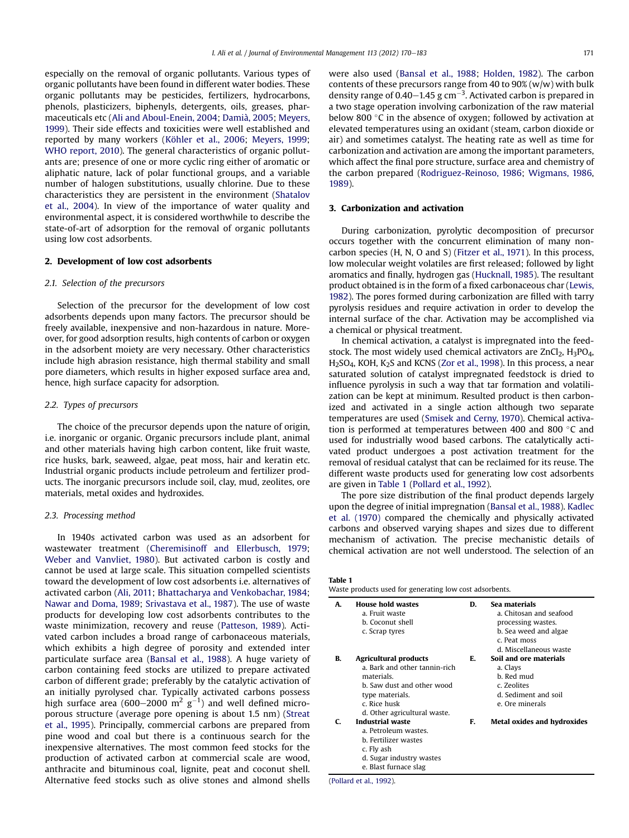<span id="page-1-0"></span>especially on the removal of organic pollutants. Various types of organic pollutants have been found in different water bodies. These organic pollutants may be pesticides, fertilizers, hydrocarbons, phenols, plasticizers, biphenyls, detergents, oils, greases, pharmaceuticals etc [\(Ali and Aboul-Enein, 2004;](#page-10-0) [Damià, 2005;](#page-10-0) [Meyers,](#page-12-0) [1999](#page-12-0)). Their side effects and toxicities were well established and reported by many workers ([Köhler et al., 2006;](#page-11-0) [Meyers, 1999;](#page-12-0) [WHO report, 2010\)](#page-13-0). The general characteristics of organic pollutants are; presence of one or more cyclic ring either of aromatic or aliphatic nature, lack of polar functional groups, and a variable number of halogen substitutions, usually chlorine. Due to these characteristics they are persistent in the environment ([Shatalov](#page-12-0) [et al., 2004](#page-12-0)). In view of the importance of water quality and environmental aspect, it is considered worthwhile to describe the state-of-art of adsorption for the removal of organic pollutants using low cost adsorbents.

#### 2. Development of low cost adsorbents

#### 2.1. Selection of the precursors

Selection of the precursor for the development of low cost adsorbents depends upon many factors. The precursor should be freely available, inexpensive and non-hazardous in nature. Moreover, for good adsorption results, high contents of carbon or oxygen in the adsorbent moiety are very necessary. Other characteristics include high abrasion resistance, high thermal stability and small pore diameters, which results in higher exposed surface area and, hence, high surface capacity for adsorption.

#### 2.2. Types of precursors

The choice of the precursor depends upon the nature of origin, i.e. inorganic or organic. Organic precursors include plant, animal and other materials having high carbon content, like fruit waste, rice husks, bark, seaweed, algae, peat moss, hair and keratin etc. Industrial organic products include petroleum and fertilizer products. The inorganic precursors include soil, clay, mud, zeolites, ore materials, metal oxides and hydroxides.

#### 2.3. Processing method

In 1940s activated carbon was used as an adsorbent for wastewater treatment [\(Cheremisinoff and Ellerbusch, 1979;](#page-10-0) [Weber and Vanvliet, 1980](#page-13-0)). But activated carbon is costly and cannot be used at large scale. This situation compelled scientists toward the development of low cost adsorbents i.e. alternatives of activated carbon [\(Ali, 2011](#page-10-0); [Bhattacharya and Venkobachar, 1984;](#page-10-0) [Nawar and Doma, 1989](#page-12-0); [Srivastava et al., 1987\)](#page-13-0). The use of waste products for developing low cost adsorbents contributes to the waste minimization, recovery and reuse [\(Patteson, 1989](#page-12-0)). Activated carbon includes a broad range of carbonaceous materials, which exhibits a high degree of porosity and extended inter particulate surface area [\(Bansal et al., 1988\)](#page-10-0). A huge variety of carbon containing feed stocks are utilized to prepare activated carbon of different grade; preferably by the catalytic activation of an initially pyrolysed char. Typically activated carbons possess high surface area (600–2000  $\mathrm{m^{2}}$  g<sup>-1</sup>) and well defined microporous structure (average pore opening is about 1.5 nm) [\(Streat](#page-13-0) [et al., 1995\)](#page-13-0). Principally, commercial carbons are prepared from pine wood and coal but there is a continuous search for the inexpensive alternatives. The most common feed stocks for the production of activated carbon at commercial scale are wood, anthracite and bituminous coal, lignite, peat and coconut shell. Alternative feed stocks such as olive stones and almond shells were also used [\(Bansal et al., 1988](#page-10-0); [Holden, 1982\)](#page-11-0). The carbon contents of these precursors range from 40 to 90% (w/w) with bulk density range of 0.40–1.45 g cm<sup>-3</sup>. Activated carbon is prepared in a two stage operation involving carbonization of the raw material below 800 $\degree$ C in the absence of oxygen; followed by activation at elevated temperatures using an oxidant (steam, carbon dioxide or air) and sometimes catalyst. The heating rate as well as time for carbonization and activation are among the important parameters, which affect the final pore structure, surface area and chemistry of the carbon prepared ([Rodriguez-Reinoso, 1986](#page-12-0); [Wigmans, 1986,](#page-13-0) [1989](#page-13-0)).

#### 3. Carbonization and activation

During carbonization, pyrolytic decomposition of precursor occurs together with the concurrent elimination of many noncarbon species (H, N, O and S) [\(Fitzer et al., 1971\)](#page-11-0). In this process, low molecular weight volatiles are first released; followed by light aromatics and finally, hydrogen gas [\(Hucknall, 1985](#page-11-0)). The resultant product obtained is in the form of a fixed carbonaceous char [\(Lewis,](#page-11-0) [1982\)](#page-11-0). The pores formed during carbonization are filled with tarry pyrolysis residues and require activation in order to develop the internal surface of the char. Activation may be accomplished via a chemical or physical treatment.

In chemical activation, a catalyst is impregnated into the feedstock. The most widely used chemical activators are  $ZnCl_2$ ,  $H_3PO_4$ , H2SO4, KOH, K2S and KCNS [\(Zor et al., 1998](#page-13-0)). In this process, a near saturated solution of catalyst impregnated feedstock is dried to influence pyrolysis in such a way that tar formation and volatilization can be kept at minimum. Resulted product is then carbonized and activated in a single action although two separate temperatures are used ([Smisek and Cerny, 1970](#page-12-0)). Chemical activation is performed at temperatures between 400 and 800 $\degree$ C and used for industrially wood based carbons. The catalytically activated product undergoes a post activation treatment for the removal of residual catalyst that can be reclaimed for its reuse. The different waste products used for generating low cost adsorbents are given in Table 1 [\(Pollard et al., 1992\)](#page-12-0).

The pore size distribution of the final product depends largely upon the degree of initial impregnation ([Bansal et al., 1988\)](#page-10-0). [Kadlec](#page-11-0) [et al. \(1970\)](#page-11-0) compared the chemically and physically activated carbons and observed varying shapes and sizes due to different mechanism of activation. The precise mechanistic details of chemical activation are not well understood. The selection of an

#### Table 1

|  | Waste products used for generating low cost adsorbents. |
|--|---------------------------------------------------------|
|--|---------------------------------------------------------|

| А. | <b>House hold wastes</b>      | D. | Sea materials                      |
|----|-------------------------------|----|------------------------------------|
|    | a. Fruit waste                |    | a. Chitosan and seafood            |
|    | b. Coconut shell              |    | processing wastes.                 |
|    | c. Scrap tyres                |    | b. Sea weed and algae              |
|    |                               |    | c. Peat moss                       |
|    |                               |    | d. Miscellaneous waste             |
|    |                               |    |                                    |
| B. | <b>Agricultural products</b>  | E. | Soil and ore materials             |
|    | a. Bark and other tannin-rich |    | a. Clays                           |
|    | materials.                    |    | b. Red mud                         |
|    | b. Saw dust and other wood    |    | c. Zeolites                        |
|    | type materials.               |    | d. Sediment and soil               |
|    | c. Rice husk                  |    | e. Ore minerals                    |
|    | d. Other agricultural waste.  |    |                                    |
| C. | <b>Industrial waste</b>       | F. | <b>Metal oxides and hydroxides</b> |
|    | a. Petroleum wastes.          |    |                                    |
|    | b. Fertilizer wastes          |    |                                    |
|    | c. Fly ash                    |    |                                    |
|    | d. Sugar industry wastes      |    |                                    |
|    | e. Blast furnace slag         |    |                                    |

([Pollard et al., 1992\)](#page-12-0).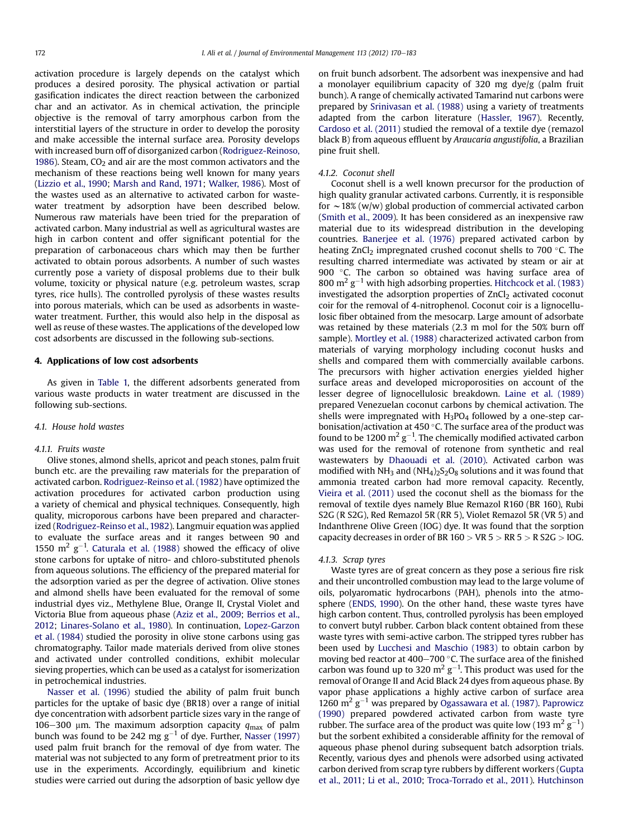activation procedure is largely depends on the catalyst which produces a desired porosity. The physical activation or partial gasification indicates the direct reaction between the carbonized char and an activator. As in chemical activation, the principle objective is the removal of tarry amorphous carbon from the interstitial layers of the structure in order to develop the porosity and make accessible the internal surface area. Porosity develops with increased burn off of disorganized carbon [\(Rodriguez-Reinoso,](#page-12-0) [1986](#page-12-0)). Steam,  $CO<sub>2</sub>$  and air are the most common activators and the mechanism of these reactions being well known for many years ([Lizzio et al., 1990;](#page-12-0) [Marsh and Rand, 1971](#page-12-0); [Walker, 1986](#page-13-0)). Most of the wastes used as an alternative to activated carbon for wastewater treatment by adsorption have been described below. Numerous raw materials have been tried for the preparation of activated carbon. Many industrial as well as agricultural wastes are high in carbon content and offer significant potential for the preparation of carbonaceous chars which may then be further activated to obtain porous adsorbents. A number of such wastes currently pose a variety of disposal problems due to their bulk volume, toxicity or physical nature (e.g. petroleum wastes, scrap tyres, rice hulls). The controlled pyrolysis of these wastes results into porous materials, which can be used as adsorbents in wastewater treatment. Further, this would also help in the disposal as well as reuse of these wastes. The applications of the developed low cost adsorbents are discussed in the following sub-sections.

### 4. Applications of low cost adsorbents

As given in [Table 1,](#page-1-0) the different adsorbents generated from various waste products in water treatment are discussed in the following sub-sections.

#### 4.1. House hold wastes

#### 4.1.1. Fruits waste

Olive stones, almond shells, apricot and peach stones, palm fruit bunch etc. are the prevailing raw materials for the preparation of activated carbon. [Rodriguez-Reinso et al. \(1982\)](#page-12-0) have optimized the activation procedures for activated carbon production using a variety of chemical and physical techniques. Consequently, high quality, microporous carbons have been prepared and characterized [\(Rodriguez-Reinso et al., 1982](#page-12-0)). Langmuir equation was applied to evaluate the surface areas and it ranges between 90 and 1550  $\mathrm{m}^2$  g<sup>-1</sup>. [Caturala et al. \(1988\)](#page-10-0) showed the efficacy of olive stone carbons for uptake of nitro- and chloro-substituted phenols from aqueous solutions. The efficiency of the prepared material for the adsorption varied as per the degree of activation. Olive stones and almond shells have been evaluated for the removal of some industrial dyes viz., Methylene Blue, Orange II, Crystal Violet and Victoria Blue from aqueous phase [\(Aziz et al., 2009](#page-10-0); [Berrios et al.,](#page-10-0) [2012](#page-10-0); [Linares-Solano et al., 1980\)](#page-11-0). In continuation, [Lopez-Garzon](#page-12-0) [et al. \(1984\)](#page-12-0) studied the porosity in olive stone carbons using gas chromatography. Tailor made materials derived from olive stones and activated under controlled conditions, exhibit molecular sieving properties, which can be used as a catalyst for isomerization in petrochemical industries.

[Nasser et al. \(1996\)](#page-12-0) studied the ability of palm fruit bunch particles for the uptake of basic dye (BR18) over a range of initial dye concentration with adsorbent particle sizes vary in the range of 106-300 µm. The maximum adsorption capacity  $q_{\text{max}}$  of palm bunch was found to be 242 mg  $\rm g^{-1}$  of dye. Further, [Nasser \(1997\)](#page-12-0) used palm fruit branch for the removal of dye from water. The material was not subjected to any form of pretreatment prior to its use in the experiments. Accordingly, equilibrium and kinetic studies were carried out during the adsorption of basic yellow dye on fruit bunch adsorbent. The adsorbent was inexpensive and had a monolayer equilibrium capacity of 320 mg dye/g (palm fruit bunch). A range of chemically activated Tamarind nut carbons were prepared by [Srinivasan et al. \(1988\)](#page-12-0) using a variety of treatments adapted from the carbon literature ([Hassler, 1967](#page-11-0)). Recently, [Cardoso et al. \(2011\)](#page-10-0) studied the removal of a textile dye (remazol black B) from aqueous effluent by Araucaria angustifolia, a Brazilian pine fruit shell.

#### 4.1.2. Coconut shell

Coconut shell is a well known precursor for the production of high quality granular activated carbons. Currently, it is responsible for  $\sim$  18% (w/w) global production of commercial activated carbon ([Smith et al., 2009](#page-12-0)). It has been considered as an inexpensive raw material due to its widespread distribution in the developing countries. [Banerjee et al. \(1976\)](#page-10-0) prepared activated carbon by heating  $ZnCl<sub>2</sub>$  impregnated crushed coconut shells to 700 °C. The resulting charred intermediate was activated by steam or air at 900 °C. The carbon so obtained was having surface area of 800 m<sup>2</sup> g<sup>-1</sup> with high adsorbing properties. [Hitchcock et al. \(1983\)](#page-11-0) investigated the adsorption properties of  $ZnCl<sub>2</sub>$  activated coconut coir for the removal of 4-nitrophenol. Coconut coir is a lignocellulosic fiber obtained from the mesocarp. Large amount of adsorbate was retained by these materials (2.3 m mol for the 50% burn off sample). [Mortley et al. \(1988\)](#page-12-0) characterized activated carbon from materials of varying morphology including coconut husks and shells and compared them with commercially available carbons. The precursors with higher activation energies yielded higher surface areas and developed microporosities on account of the lesser degree of lignocellulosic breakdown. [Laine et al. \(1989\)](#page-11-0) prepared Venezuelan coconut carbons by chemical activation. The shells were impregnated with  $H_3PO_4$  followed by a one-step carbonisation/activation at 450  $\degree$ C. The surface area of the product was found to be 1200  $\mathrm{m^{2}\,g^{-1}}$ . The chemically modified activated carbon was used for the removal of rotenone from synthetic and real wastewaters by [Dhaouadi et al. \(2010\)](#page-10-0). Activated carbon was modified with  $NH_3$  and  $(NH_4)_2S_2O_8$  solutions and it was found that ammonia treated carbon had more removal capacity. Recently, [Vieira et al. \(2011\)](#page-13-0) used the coconut shell as the biomass for the removal of textile dyes namely Blue Remazol R160 (BR 160), Rubi S2G (R S2G), Red Remazol 5R (RR 5), Violet Remazol 5R (VR 5) and Indanthrene Olive Green (IOG) dye. It was found that the sorption capacity decreases in order of BR  $160 >$  VR  $5 >$  RR  $5 >$  R S2G  $>$  IOG.

#### 4.1.3. Scrap tyres

Waste tyres are of great concern as they pose a serious fire risk and their uncontrolled combustion may lead to the large volume of oils, polyaromatic hydrocarbons (PAH), phenols into the atmosphere ([ENDS, 1990\)](#page-11-0). On the other hand, these waste tyres have high carbon content. Thus, controlled pyrolysis has been employed to convert butyl rubber. Carbon black content obtained from these waste tyres with semi-active carbon. The stripped tyres rubber has been used by [Lucchesi and Maschio \(1983\)](#page-12-0) to obtain carbon by moving bed reactor at 400-700  $\degree$ C. The surface area of the finished carbon was found up to 320  $m^2$   $g^{-1}$ . This product was used for the removal of Orange II and Acid Black 24 dyes from aqueous phase. By vapor phase applications a highly active carbon of surface area 1260  $\mathrm{m}^2$  g<sup>-1</sup> was prepared by [Ogassawara et al. \(1987\)](#page-12-0). [Paprowicz](#page-12-0) [\(1990\)](#page-12-0) prepared powdered activated carbon from waste tyre rubber. The surface area of the product was quite low (193  $\mathrm{m^{2}\,g^{-1}}$ ) but the sorbent exhibited a considerable affinity for the removal of aqueous phase phenol during subsequent batch adsorption trials. Recently, various dyes and phenols were adsorbed using activated carbon derived from scrap tyre rubbers by different workers [\(Gupta](#page-11-0) [et al., 2011;](#page-11-0) [Li et al., 2010](#page-11-0); [Troca-Torrado et al., 2011\)](#page-13-0). [Hutchinson](#page-11-0)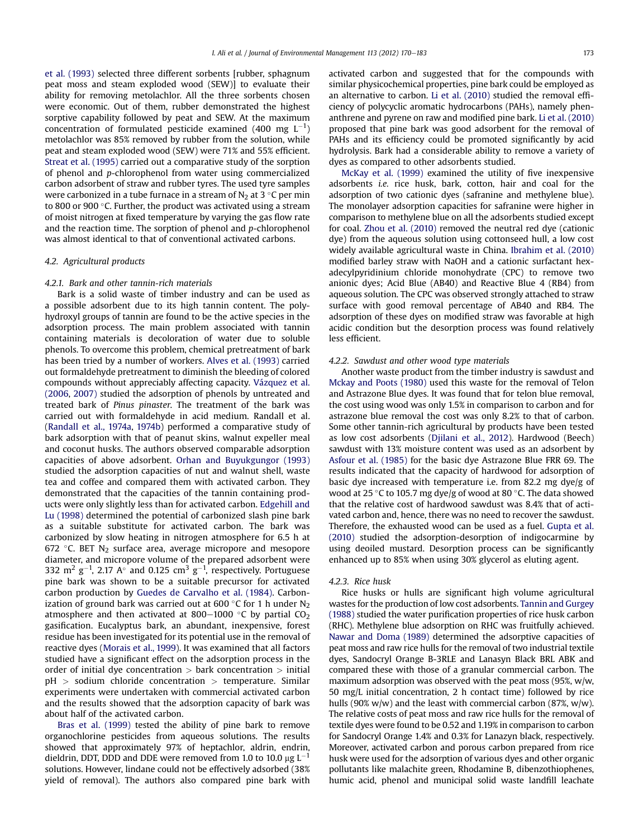[et al. \(1993\)](#page-11-0) selected three different sorbents [rubber, sphagnum peat moss and steam exploded wood (SEW)] to evaluate their ability for removing metolachlor. All the three sorbents chosen were economic. Out of them, rubber demonstrated the highest sorptive capability followed by peat and SEW. At the maximum concentration of formulated pesticide examined (400 mg  $L^{-1}$ ) metolachlor was 85% removed by rubber from the solution, while peat and steam exploded wood (SEW) were 71% and 55% efficient. [Streat et al. \(1995\)](#page-13-0) carried out a comparative study of the sorption of phenol and p-chlorophenol from water using commercialized carbon adsorbent of straw and rubber tyres. The used tyre samples were carbonized in a tube furnace in a stream of  $N_2$  at 3 °C per min to 800 or 900 $\degree$ C. Further, the product was activated using a stream of moist nitrogen at fixed temperature by varying the gas flow rate and the reaction time. The sorption of phenol and p-chlorophenol was almost identical to that of conventional activated carbons.

#### 4.2. Agricultural products

#### 4.2.1. Bark and other tannin-rich materials

Bark is a solid waste of timber industry and can be used as a possible adsorbent due to its high tannin content. The polyhydroxyl groups of tannin are found to be the active species in the adsorption process. The main problem associated with tannin containing materials is decoloration of water due to soluble phenols. To overcome this problem, chemical pretreatment of bark has been tried by a number of workers. [Alves et al. \(1993\)](#page-10-0) carried out formaldehyde pretreatment to diminish the bleeding of colored compounds without appreciably affecting capacity. [Vázquez et al.](#page-13-0) [\(2006,](#page-13-0) [2007\)](#page-13-0) studied the adsorption of phenols by untreated and treated bark of Pinus pinaster. The treatment of the bark was carried out with formaldehyde in acid medium. Randall et al. ([Randall et al., 1974a](#page-12-0), [1974b](#page-12-0)) performed a comparative study of bark adsorption with that of peanut skins, walnut expeller meal and coconut husks. The authors observed comparable adsorption capacities of above adsorbent. [Orhan and Buyukgungor \(1993\)](#page-12-0) studied the adsorption capacities of nut and walnut shell, waste tea and coffee and compared them with activated carbon. They demonstrated that the capacities of the tannin containing products were only slightly less than for activated carbon. [Edgehill and](#page-11-0) [Lu \(1998\)](#page-11-0) determined the potential of carbonized slash pine bark as a suitable substitute for activated carbon. The bark was carbonized by slow heating in nitrogen atmosphere for 6.5 h at 672 °C. BET  $N_2$  surface area, average micropore and mesopore diameter, and micropore volume of the prepared adsorbent were 332 m<sup>2</sup> g<sup>-1</sup>, 2.17 A $^{\circ}$  and 0.125 cm<sup>3</sup> g<sup>-1</sup>, respectively. Portuguese pine bark was shown to be a suitable precursor for activated carbon production by [Guedes de Carvalho et al. \(1984\).](#page-11-0) Carbonization of ground bark was carried out at 600 °C for 1 h under  $N_2$ atmosphere and then activated at 800–1000 °C by partial  $CO<sub>2</sub>$ gasification. Eucalyptus bark, an abundant, inexpensive, forest residue has been investigated for its potential use in the removal of reactive dyes ([Morais et al., 1999\)](#page-12-0). It was examined that all factors studied have a significant effect on the adsorption process in the order of initial dye concentration  $>$  bark concentration  $>$  initial  $pH >$  sodium chloride concentration  $>$  temperature. Similar experiments were undertaken with commercial activated carbon and the results showed that the adsorption capacity of bark was about half of the activated carbon.

[Bras et al. \(1999\)](#page-10-0) tested the ability of pine bark to remove organochlorine pesticides from aqueous solutions. The results showed that approximately 97% of heptachlor, aldrin, endrin, dieldrin, DDT, DDD and DDE were removed from 1.0 to 10.0  $\mu$ g L<sup>-1</sup><br>solutions. However, lind ne could not be effectively adsorbed (38%) solutions. However, lindane could not be effectively adsorbed (38% yield of removal). The authors also compared pine bark with activated carbon and suggested that for the compounds with similar physicochemical properties, pine bark could be employed as an alternative to carbon. [Li et al. \(2010\)](#page-11-0) studied the removal efficiency of polycyclic aromatic hydrocarbons (PAHs), namely phenanthrene and pyrene on raw and modified pine bark. [Li et al. \(2010\)](#page-11-0) proposed that pine bark was good adsorbent for the removal of PAHs and its efficiency could be promoted significantly by acid hydrolysis. Bark had a considerable ability to remove a variety of dyes as compared to other adsorbents studied.

[McKay et al. \(1999\)](#page-12-0) examined the utility of five inexpensive adsorbents i.e. rice husk, bark, cotton, hair and coal for the adsorption of two cationic dyes (safranine and methylene blue). The monolayer adsorption capacities for safranine were higher in comparison to methylene blue on all the adsorbents studied except for coal. [Zhou et al. \(2010\)](#page-13-0) removed the neutral red dye (cationic dye) from the aqueous solution using cottonseed hull, a low cost widely available agricultural waste in China. [Ibrahim et al. \(2010\)](#page-11-0) modified barley straw with NaOH and a cationic surfactant hexadecylpyridinium chloride monohydrate (CPC) to remove two anionic dyes; Acid Blue (AB40) and Reactive Blue 4 (RB4) from aqueous solution. The CPC was observed strongly attached to straw surface with good removal percentage of AB40 and RB4. The adsorption of these dyes on modified straw was favorable at high acidic condition but the desorption process was found relatively less efficient.

#### 4.2.2. Sawdust and other wood type materials

Another waste product from the timber industry is sawdust and [Mckay and Poots \(1980\)](#page-12-0) used this waste for the removal of Telon and Astrazone Blue dyes. It was found that for telon blue removal, the cost using wood was only 1.5% in comparison to carbon and for astrazone blue removal the cost was only 8.2% to that of carbon. Some other tannin-rich agricultural by products have been tested as low cost adsorbents ([Djilani et al., 2012\)](#page-10-0). Hardwood (Beech) sawdust with 13% moisture content was used as an adsorbent by [Asfour et al. \(1985\)](#page-10-0) for the basic dye Astrazone Blue FRR 69. The results indicated that the capacity of hardwood for adsorption of basic dye increased with temperature i.e. from 82.2 mg dye/g of wood at 25 °C to 105.7 mg dye/g of wood at 80 °C. The data showed that the relative cost of hardwood sawdust was 8.4% that of activated carbon and, hence, there was no need to recover the sawdust. Therefore, the exhausted wood can be used as a fuel. [Gupta et al.](#page-11-0) [\(2010\)](#page-11-0) studied the adsorption-desorption of indigocarmine by using deoiled mustard. Desorption process can be significantly enhanced up to 85% when using 30% glycerol as eluting agent.

#### 4.2.3. Rice husk

Rice husks or hulls are significant high volume agricultural wastes for the production of low cost adsorbents. [Tannin and Gurgey](#page-13-0) [\(1988\)](#page-13-0) studied the water purification properties of rice husk carbon (RHC). Methylene blue adsorption on RHC was fruitfully achieved. [Nawar and Doma \(1989\)](#page-12-0) determined the adsorptive capacities of peat moss and raw rice hulls for the removal of two industrial textile dyes, Sandocryl Orange B-3RLE and Lanasyn Black BRL ABK and compared these with those of a granular commercial carbon. The maximum adsorption was observed with the peat moss (95%, w/w, 50 mg/L initial concentration, 2 h contact time) followed by rice hulls (90% w/w) and the least with commercial carbon (87%, w/w). The relative costs of peat moss and raw rice hulls for the removal of textile dyes were found to be 0.52 and 1.19% in comparison to carbon for Sandocryl Orange 1.4% and 0.3% for Lanazyn black, respectively. Moreover, activated carbon and porous carbon prepared from rice husk were used for the adsorption of various dyes and other organic pollutants like malachite green, Rhodamine B, dibenzothiophenes, humic acid, phenol and municipal solid waste landfill leachate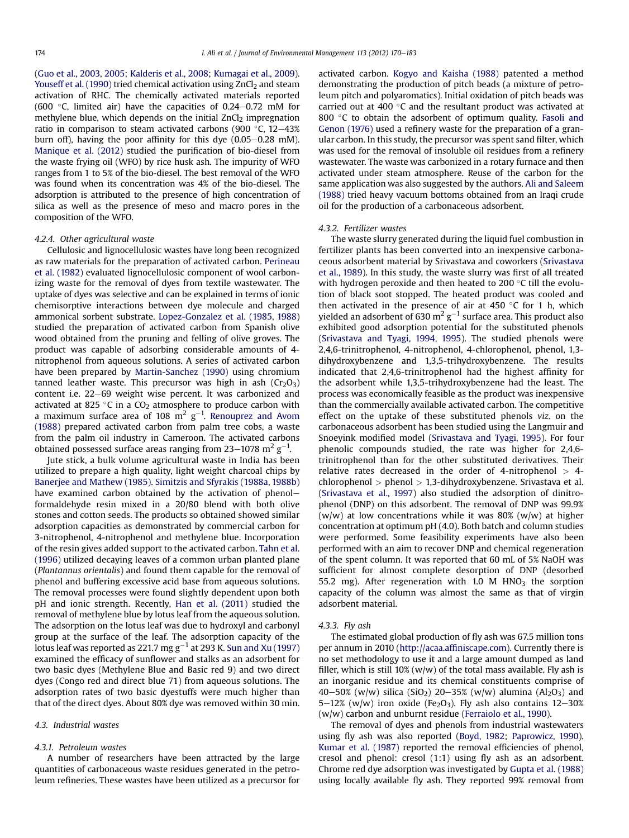([Guo et al., 2003,](#page-11-0) [2005](#page-11-0); [Kalderis et al., 2008](#page-11-0); [Kumagai et al., 2009\)](#page-11-0). [Youseff et al. \(1990\)](#page-13-0) tried chemical activation using ZnCl<sub>2</sub> and steam activation of RHC. The chemically activated materials reported (600 $\degree$ C, limited air) have the capacities of 0.24-0.72 mM for methylene blue, which depends on the initial  $ZnCl<sub>2</sub>$  impregnation ratio in comparison to steam activated carbons (900 $\degree$ C, 12-43%) burn off), having the poor affinity for this dye  $(0.05-0.28 \text{ mM})$ . [Manique et al. \(2012\)](#page-12-0) studied the purification of bio-diesel from the waste frying oil (WFO) by rice husk ash. The impurity of WFO ranges from 1 to 5% of the bio-diesel. The best removal of the WFO was found when its concentration was 4% of the bio-diesel. The adsorption is attributed to the presence of high concentration of silica as well as the presence of meso and macro pores in the composition of the WFO.

#### 4.2.4. Other agricultural waste

Cellulosic and lignocellulosic wastes have long been recognized as raw materials for the preparation of activated carbon. [Perineau](#page-12-0) [et al. \(1982\)](#page-12-0) evaluated lignocellulosic component of wool carbonizing waste for the removal of dyes from textile wastewater. The uptake of dyes was selective and can be explained in terms of ionic chemisorptive interactions between dye molecule and charged ammonical sorbent substrate. [Lopez-Gonzalez et al. \(1985,](#page-12-0) [1988\)](#page-12-0) studied the preparation of activated carbon from Spanish olive wood obtained from the pruning and felling of olive groves. The product was capable of adsorbing considerable amounts of 4 nitrophenol from aqueous solutions. A series of activated carbon have been prepared by [Martin-Sanchez \(1990\)](#page-12-0) using chromium tanned leather waste. This precursor was high in ash  $(Cr<sub>2</sub>O<sub>3</sub>)$ content i.e.  $22-69$  weight wise percent. It was carbonized and activated at 825 °C in a  $CO<sub>2</sub>$  atmosphere to produce carbon with a maximum surface area of 108  $\mathrm{m^{2}}$  g<sup>-1</sup>. [Renouprez and Avom](#page-12-0) [\(1988\)](#page-12-0) prepared activated carbon from palm tree cobs, a waste from the palm oil industry in Cameroon. The activated carbons obtained possessed surface areas ranging from 23–1078 m<sup>2</sup> g<sup>-1</sup>.

Jute stick, a bulk volume agricultural waste in India has been utilized to prepare a high quality, light weight charcoal chips by [Banerjee and Mathew \(1985\)](#page-10-0). [Simitzis and Sfyrakis \(1988a,](#page-12-0) [1988b\)](#page-12-0) have examined carbon obtained by the activation of phenolformaldehyde resin mixed in a 20/80 blend with both olive stones and cotton seeds. The products so obtained showed similar adsorption capacities as demonstrated by commercial carbon for 3-nitrophenol, 4-nitrophenol and methylene blue. Incorporation of the resin gives added support to the activated carbon. [Tahn et al.](#page-13-0) [\(1996\)](#page-13-0) utilized decaying leaves of a common urban planted plane (Plantannus orientalis) and found them capable for the removal of phenol and buffering excessive acid base from aqueous solutions. The removal processes were found slightly dependent upon both pH and ionic strength. Recently, [Han et al. \(2011\)](#page-11-0) studied the removal of methylene blue by lotus leaf from the aqueous solution. The adsorption on the lotus leaf was due to hydroxyl and carbonyl group at the surface of the leaf. The adsorption capacity of the lotus leaf was reported as 221.7  $\text{mg}\,\text{g}^{-1}$  at 293 K. [Sun and Xu \(1997\)](#page-13-0) examined the efficacy of sunflower and stalks as an adsorbent for two basic dyes (Methylene Blue and Basic red 9) and two direct dyes (Congo red and direct blue 71) from aqueous solutions. The adsorption rates of two basic dyestuffs were much higher than that of the direct dyes. About 80% dye was removed within 30 min.

#### 4.3. Industrial wastes

#### 4.3.1. Petroleum wastes

A number of researchers have been attracted by the large quantities of carbonaceous waste residues generated in the petroleum refineries. These wastes have been utilized as a precursor for activated carbon. [Kogyo and Kaisha \(1988\)](#page-11-0) patented a method demonstrating the production of pitch beads (a mixture of petroleum pitch and polyaromatics). Initial oxidation of pitch beads was carried out at 400  $\degree$ C and the resultant product was activated at 800 $\degree$ C to obtain the adsorbent of optimum quality. [Fasoli and](#page-11-0) [Genon \(1976\)](#page-11-0) used a refinery waste for the preparation of a granular carbon. In this study, the precursor was spent sand filter, which was used for the removal of insoluble oil residues from a refinery wastewater. The waste was carbonized in a rotary furnace and then activated under steam atmosphere. Reuse of the carbon for the same application was also suggested by the authors. [Ali and Saleem](#page-10-0) [\(1988\)](#page-10-0) tried heavy vacuum bottoms obtained from an Iraqi crude oil for the production of a carbonaceous adsorbent.

#### 4.3.2. Fertilizer wastes

The waste slurry generated during the liquid fuel combustion in fertilizer plants has been converted into an inexpensive carbonaceous adsorbent material by Srivastava and coworkers ([Srivastava](#page-13-0) [et al., 1989](#page-13-0)). In this study, the waste slurry was first of all treated with hydrogen peroxide and then heated to 200  $\degree$ C till the evolution of black soot stopped. The heated product was cooled and then activated in the presence of air at 450  $\degree$ C for 1 h, which yielded an adsorbent of 630 m $^2$  g $^{-1}$  surface area. This product also exhibited good adsorption potential for the substituted phenols ([Srivastava and Tyagi, 1994](#page-12-0), [1995\)](#page-13-0). The studied phenols were 2,4,6-trinitrophenol, 4-nitrophenol, 4-chlorophenol, phenol, 1,3 dihydroxybenzene and 1,3,5-trihydroxybenzene. The results indicated that 2,4,6-trinitrophenol had the highest affinity for the adsorbent while 1,3,5-trihydroxybenzene had the least. The process was economically feasible as the product was inexpensive than the commercially available activated carbon. The competitive effect on the uptake of these substituted phenols viz. on the carbonaceous adsorbent has been studied using the Langmuir and Snoeyink modified model [\(Srivastava and Tyagi, 1995\)](#page-13-0). For four phenolic compounds studied, the rate was higher for 2,4,6 trinitrophenol than for the other substituted derivatives. Their relative rates decreased in the order of 4-nitrophenol  $> 4$  $chlorophenol > phenol > 1,3-dihydroxybenzene. Srivastava et al.$ ([Srivastava et al., 1997](#page-13-0)) also studied the adsorption of dinitrophenol (DNP) on this adsorbent. The removal of DNP was 99.9% (w/w) at low concentrations while it was  $80\%$  (w/w) at higher concentration at optimum pH (4.0). Both batch and column studies were performed. Some feasibility experiments have also been performed with an aim to recover DNP and chemical regeneration of the spent column. It was reported that 60 mL of 5% NaOH was sufficient for almost complete desorption of DNP (desorbed 55.2 mg). After regeneration with 1.0 M  $HNO<sub>3</sub>$  the sorption capacity of the column was almost the same as that of virgin adsorbent material.

#### 4.3.3. Fly ash

The estimated global production of fly ash was 67.5 million tons per annum in 2010 [\(http://acaa.af](http://acaa.affiniscape.com)finiscape.com). Currently there is no set methodology to use it and a large amount dumped as land filler, which is still  $10\%$  (w/w) of the total mass available. Fly ash is an inorganic residue and its chemical constituents comprise of 40–50% (w/w) silica (SiO<sub>2</sub>) 20–35% (w/w) alumina (Al<sub>2</sub>O<sub>3</sub>) and 5–12% (w/w) iron oxide (Fe<sub>2</sub>O<sub>3</sub>). Fly ash also contains 12–30% (w/w) carbon and unburnt residue [\(Ferraiolo et al., 1990\)](#page-11-0).

The removal of dyes and phenols from industrial wastewaters using fly ash was also reported [\(Boyd, 1982;](#page-10-0) [Paprowicz, 1990\)](#page-12-0). [Kumar et al. \(1987\)](#page-11-0) reported the removal efficiencies of phenol, cresol and phenol: cresol (1:1) using fly ash as an adsorbent. Chrome red dye adsorption was investigated by [Gupta et al. \(1988\)](#page-11-0) using locally available fly ash. They reported 99% removal from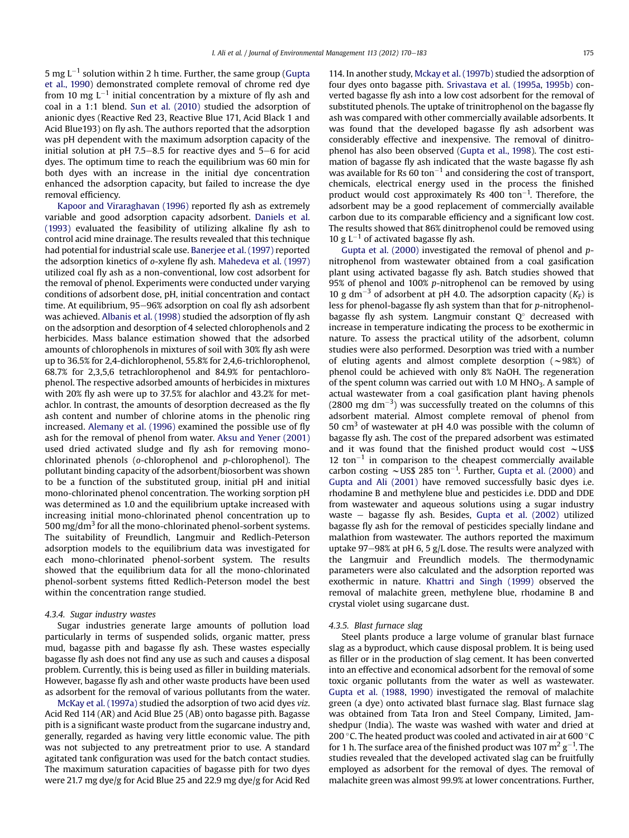5 mg L $^{-1}$  solution within 2 h time. Further, the same group ([Gupta](#page-11-0) [et al., 1990](#page-11-0)) demonstrated complete removal of chrome red dye from 10 mg  $L^{-1}$  initial concentration by a mixture of fly ash and coal in a 1:1 blend. [Sun et al. \(2010\)](#page-13-0) studied the adsorption of anionic dyes (Reactive Red 23, Reactive Blue 171, Acid Black 1 and Acid Blue193) on fly ash. The authors reported that the adsorption was pH dependent with the maximum adsorption capacity of the initial solution at pH  $7.5-8.5$  for reactive dyes and  $5-6$  for acid dyes. The optimum time to reach the equilibrium was 60 min for both dyes with an increase in the initial dye concentration enhanced the adsorption capacity, but failed to increase the dye removal efficiency.

[Kapoor and Viraraghavan \(1996\)](#page-11-0) reported fly ash as extremely variable and good adsorption capacity adsorbent. [Daniels et al.](#page-10-0) [\(1993\)](#page-10-0) evaluated the feasibility of utilizing alkaline fly ash to control acid mine drainage. The results revealed that this technique had potential for industrial scale use. [Banerjee et al. \(1997\)](#page-10-0) reported the adsorption kinetics of o-xylene fly ash. [Mahedeva et al. \(1997\)](#page-12-0) utilized coal fly ash as a non-conventional, low cost adsorbent for the removal of phenol. Experiments were conducted under varying conditions of adsorbent dose, pH, initial concentration and contact time. At equilibrium, 95-96% adsorption on coal fly ash adsorbent was achieved. [Albanis et al. \(1998\)](#page-10-0) studied the adsorption of fly ash on the adsorption and desorption of 4 selected chlorophenols and 2 herbicides. Mass balance estimation showed that the adsorbed amounts of chlorophenols in mixtures of soil with 30% fly ash were up to 36.5% for 2,4-dichlorophenol, 55.8% for 2,4,6-trichlorophenol, 68.7% for 2,3,5,6 tetrachlorophenol and 84.9% for pentachlorophenol. The respective adsorbed amounts of herbicides in mixtures with 20% fly ash were up to 37.5% for alachlor and 43.2% for metachlor. In contrast, the amounts of desorption decreased as the fly ash content and number of chlorine atoms in the phenolic ring increased. [Alemany et al. \(1996\)](#page-10-0) examined the possible use of fly ash for the removal of phenol from water. [Aksu and Yener \(2001\)](#page-10-0) used dried activated sludge and fly ash for removing monochlorinated phenols (o-chlorophenol and p-chlorophenol). The pollutant binding capacity of the adsorbent/biosorbent was shown to be a function of the substituted group, initial pH and initial mono-chlorinated phenol concentration. The working sorption pH was determined as 1.0 and the equilibrium uptake increased with increasing initial mono-chlorinated phenol concentration up to 500 mg/dm $3$  for all the mono-chlorinated phenol-sorbent systems. The suitability of Freundlich, Langmuir and Redlich-Peterson adsorption models to the equilibrium data was investigated for each mono-chlorinated phenol-sorbent system. The results showed that the equilibrium data for all the mono-chlorinated phenol-sorbent systems fitted Redlich-Peterson model the best within the concentration range studied.

#### 4.3.4. Sugar industry wastes

Sugar industries generate large amounts of pollution load particularly in terms of suspended solids, organic matter, press mud, bagasse pith and bagasse fly ash. These wastes especially bagasse fly ash does not find any use as such and causes a disposal problem. Currently, this is being used as filler in building materials. However, bagasse fly ash and other waste products have been used as adsorbent for the removal of various pollutants from the water.

[McKay et al. \(1997a\)](#page-12-0) studied the adsorption of two acid dyes viz. Acid Red 114 (AR) and Acid Blue 25 (AB) onto bagasse pith. Bagasse pith is a significant waste product from the sugarcane industry and, generally, regarded as having very little economic value. The pith was not subjected to any pretreatment prior to use. A standard agitated tank configuration was used for the batch contact studies. The maximum saturation capacities of bagasse pith for two dyes were 21.7 mg dye/g for Acid Blue 25 and 22.9 mg dye/g for Acid Red 114. In another study, [Mckay et al. \(1997b\)](#page-12-0) studied the adsorption of four dyes onto bagasse pith. [Srivastava et al. \(1995a](#page-13-0), [1995b\)](#page-13-0) converted bagasse fly ash into a low cost adsorbent for the removal of substituted phenols. The uptake of trinitrophenol on the bagasse fly ash was compared with other commercially available adsorbents. It was found that the developed bagasse fly ash adsorbent was considerably effective and inexpensive. The removal of dinitrophenol has also been observed ([Gupta et al., 1998](#page-11-0)). The cost estimation of bagasse fly ash indicated that the waste bagasse fly ash was available for Rs 60 ton $^{-1}$  and considering the cost of transport, chemicals, electrical energy used in the process the finished product would cost approximately Rs  $400$  ton<sup>-1</sup>. Therefore, the adsorbent may be a good replacement of commercially available carbon due to its comparable efficiency and a significant low cost. The results showed that 86% dinitrophenol could be removed using 10 g  $L^{-1}$  of activated bagasse fly ash.

[Gupta et al. \(2000\)](#page-11-0) investigated the removal of phenol and pnitrophenol from wastewater obtained from a coal gasification plant using activated bagasse fly ash. Batch studies showed that 95% of phenol and 100% p-nitrophenol can be removed by using 10 g dm<sup>-3</sup> of adsorbent at pH 4.0. The adsorption capacity ( $K_F$ ) is less for phenol-bagasse fly ash system than that for p-nitrophenolbagasse fly ash system. Langmuir constant  $Q^{\circ}$  decreased with increase in temperature indicating the process to be exothermic in nature. To assess the practical utility of the adsorbent, column studies were also performed. Desorption was tried with a number of eluting agents and almost complete desorption  $({\sim}98%)$  of phenol could be achieved with only 8% NaOH. The regeneration of the spent column was carried out with 1.0 M HNO<sub>3</sub>. A sample of actual wastewater from a coal gasification plant having phenols (2800 mg dm<sup>-3</sup>) was successfully treated on the columns of this adsorbent material. Almost complete removal of phenol from 50  $\text{cm}^3$  of wastewater at pH 4.0 was possible with the column of bagasse fly ash. The cost of the prepared adsorbent was estimated and it was found that the finished product would cost  $\sim$  US\$  $12$  ton<sup>-1</sup> in comparison to the cheapest commercially available carbon costing  $\sim$  US\$ 285 ton<sup>-1</sup>. Further, [Gupta et al. \(2000\)](#page-11-0) and [Gupta and Ali \(2001\)](#page-11-0) have removed successfully basic dyes i.e. rhodamine B and methylene blue and pesticides i.e. DDD and DDE from wastewater and aqueous solutions using a sugar industry waste - bagasse fly ash. Besides, [Gupta et al. \(2002\)](#page-11-0) utilized bagasse fly ash for the removal of pesticides specially lindane and malathion from wastewater. The authors reported the maximum uptake 97 $-98\%$  at pH 6, 5 g/L dose. The results were analyzed with the Langmuir and Freundlich models. The thermodynamic parameters were also calculated and the adsorption reported was exothermic in nature. [Khattri and Singh \(1999\)](#page-11-0) observed the removal of malachite green, methylene blue, rhodamine B and crystal violet using sugarcane dust.

#### 4.3.5. Blast furnace slag

Steel plants produce a large volume of granular blast furnace slag as a byproduct, which cause disposal problem. It is being used as filler or in the production of slag cement. It has been converted into an effective and economical adsorbent for the removal of some toxic organic pollutants from the water as well as wastewater. [Gupta et al. \(1988](#page-11-0), [1990\)](#page-11-0) investigated the removal of malachite green (a dye) onto activated blast furnace slag. Blast furnace slag was obtained from Tata Iron and Steel Company, Limited, Jamshedpur (India). The waste was washed with water and dried at 200 $\degree$ C. The heated product was cooled and activated in air at 600 $\degree$ C for 1 h. The surface area of the finished product was 107  $\mathrm{m^{2}\,g^{-1}}$ . The studies revealed that the developed activated slag can be fruitfully employed as adsorbent for the removal of dyes. The removal of malachite green was almost 99.9% at lower concentrations. Further,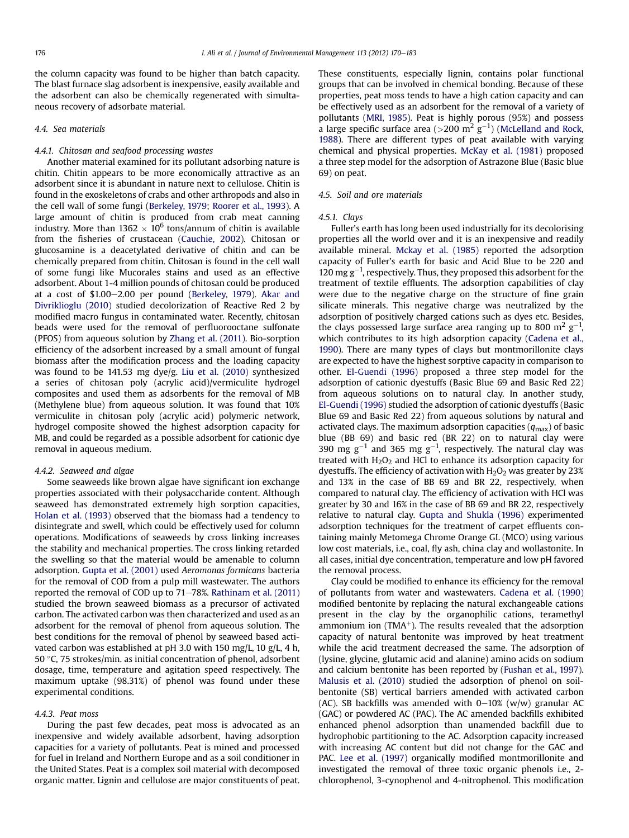the column capacity was found to be higher than batch capacity. The blast furnace slag adsorbent is inexpensive, easily available and the adsorbent can also be chemically regenerated with simultaneous recovery of adsorbate material.

#### 4.4. Sea materials

#### 4.4.1. Chitosan and seafood processing wastes

Another material examined for its pollutant adsorbing nature is chitin. Chitin appears to be more economically attractive as an adsorbent since it is abundant in nature next to cellulose. Chitin is found in the exoskeletons of crabs and other arthropods and also in the cell wall of some fungi [\(Berkeley, 1979;](#page-10-0) [Roorer et al., 1993\)](#page-12-0). A large amount of chitin is produced from crab meat canning industry. More than 1362  $\times$  10<sup>6</sup> tons/annum of chitin is available from the fisheries of crustacean ([Cauchie, 2002\)](#page-10-0). Chitosan or glucosamine is a deacetylated derivative of chitin and can be chemically prepared from chitin. Chitosan is found in the cell wall of some fungi like Mucorales stains and used as an effective adsorbent. About 1-4 million pounds of chitosan could be produced at a cost of  $$1.00-2.00$  per pound ([Berkeley, 1979](#page-10-0)). [Akar and](#page-10-0) [Divriklioglu \(2010\)](#page-10-0) studied decolorization of Reactive Red 2 by modified macro fungus in contaminated water. Recently, chitosan beads were used for the removal of perfluorooctane sulfonate (PFOS) from aqueous solution by [Zhang et al. \(2011\)](#page-13-0). Bio-sorption efficiency of the adsorbent increased by a small amount of fungal biomass after the modification process and the loading capacity was found to be 141.53 mg dye/g. [Liu et al. \(2010\)](#page-11-0) synthesized a series of chitosan poly (acrylic acid)/vermiculite hydrogel composites and used them as adsorbents for the removal of MB (Methylene blue) from aqueous solution. It was found that 10% vermiculite in chitosan poly (acrylic acid) polymeric network, hydrogel composite showed the highest adsorption capacity for MB, and could be regarded as a possible adsorbent for cationic dye removal in aqueous medium.

#### 4.4.2. Seaweed and algae

Some seaweeds like brown algae have significant ion exchange properties associated with their polysaccharide content. Although seaweed has demonstrated extremely high sorption capacities, [Holan et al. \(1993\)](#page-11-0) observed that the biomass had a tendency to disintegrate and swell, which could be effectively used for column operations. Modifications of seaweeds by cross linking increases the stability and mechanical properties. The cross linking retarded the swelling so that the material would be amenable to column adsorption. [Gupta et al. \(2001\)](#page-11-0) used Aeromonas formicans bacteria for the removal of COD from a pulp mill wastewater. The authors reported the removal of COD up to 71-78%. [Rathinam et al. \(2011\)](#page-12-0) studied the brown seaweed biomass as a precursor of activated carbon. The activated carbon was then characterized and used as an adsorbent for the removal of phenol from aqueous solution. The best conditions for the removal of phenol by seaweed based activated carbon was established at pH 3.0 with 150 mg/L, 10 g/L, 4 h, 50  $\degree$ C, 75 strokes/min. as initial concentration of phenol, adsorbent dosage, time, temperature and agitation speed respectively. The maximum uptake (98.31%) of phenol was found under these experimental conditions.

#### 4.4.3. Peat moss

During the past few decades, peat moss is advocated as an inexpensive and widely available adsorbent, having adsorption capacities for a variety of pollutants. Peat is mined and processed for fuel in Ireland and Northern Europe and as a soil conditioner in the United States. Peat is a complex soil material with decomposed organic matter. Lignin and cellulose are major constituents of peat. These constituents, especially lignin, contains polar functional groups that can be involved in chemical bonding. Because of these properties, peat moss tends to have a high cation capacity and can be effectively used as an adsorbent for the removal of a variety of pollutants ([MRI, 1985\)](#page-12-0). Peat is highly porous (95%) and possess a large specific surface area (>200  $\mathrm{m^2\ g^{-1}}$ ) ([McLelland and Rock,](#page-12-0) [1988](#page-12-0)). There are different types of peat available with varying chemical and physical properties. [McKay et al. \(1981\)](#page-12-0) proposed a three step model for the adsorption of Astrazone Blue (Basic blue 69) on peat.

#### 4.5. Soil and ore materials

#### 4.5.1. Clays

Fuller's earth has long been used industrially for its decolorising properties all the world over and it is an inexpensive and readily available mineral. [Mckay et al. \(1985\)](#page-12-0) reported the adsorption capacity of Fuller's earth for basic and Acid Blue to be 220 and 120 mg  $g^{-1}$ , respectively. Thus, they proposed this adsorbent for the treatment of textile effluents. The adsorption capabilities of clay were due to the negative charge on the structure of fine grain silicate minerals. This negative charge was neutralized by the adsorption of positively charged cations such as dyes etc. Besides, the clays possessed large surface area ranging up to 800 m<sup>2</sup> g<sup>-1</sup>, which contributes to its high adsorption capacity ([Cadena et al.,](#page-10-0) [1990](#page-10-0)). There are many types of clays but montmorillonite clays are expected to have the highest sorptive capacity in comparison to other. [El-Guendi \(1996\)](#page-11-0) proposed a three step model for the adsorption of cationic dyestuffs (Basic Blue 69 and Basic Red 22) from aqueous solutions on to natural clay. In another study, [El-Guendi \(1996\)](#page-11-0) studied the adsorption of cationic dyestuffs (Basic Blue 69 and Basic Red 22) from aqueous solutions by natural and activated clays. The maximum adsorption capacities  $(q_{\text{max}})$  of basic blue (BB 69) and basic red (BR 22) on to natural clay were 390 mg  $g^{-1}$  and 365 mg  $g^{-1}$ , respectively. The natural clay was treated with  $H_2O_2$  and HCl to enhance its adsorption capacity for dyestuffs. The efficiency of activation with  $H_2O_2$  was greater by 23% and 13% in the case of BB 69 and BR 22, respectively, when compared to natural clay. The efficiency of activation with HCl was greater by 30 and 16% in the case of BB 69 and BR 22, respectively relative to natural clay. [Gupta and Shukla \(1996\)](#page-11-0) experimented adsorption techniques for the treatment of carpet effluents containing mainly Metomega Chrome Orange GL (MCO) using various low cost materials, i.e., coal, fly ash, china clay and wollastonite. In all cases, initial dye concentration, temperature and low pH favored the removal process.

Clay could be modified to enhance its efficiency for the removal of pollutants from water and wastewaters. [Cadena et al. \(1990\)](#page-10-0) modified bentonite by replacing the natural exchangeable cations present in the clay by the organophilic cations, teramethyl ammonium ion (TMA<sup>+</sup>). The results revealed that the adsorption capacity of natural bentonite was improved by heat treatment while the acid treatment decreased the same. The adsorption of (lysine, glycine, glutamic acid and alanine) amino acids on sodium and calcium bentonite has been reported by [\(Fushan et al., 1997\)](#page-11-0). [Malusis et al. \(2010\)](#page-12-0) studied the adsorption of phenol on soilbentonite (SB) vertical barriers amended with activated carbon (AC). SB backfills was amended with  $0-10\%$  (w/w) granular AC (GAC) or powdered AC (PAC). The AC amended backfills exhibited enhanced phenol adsorption than unamended backfill due to hydrophobic partitioning to the AC. Adsorption capacity increased with increasing AC content but did not change for the GAC and PAC. [Lee et al. \(1997\)](#page-11-0) organically modified montmorillonite and investigated the removal of three toxic organic phenols i.e., 2 chlorophenol, 3-cynophenol and 4-nitrophenol. This modification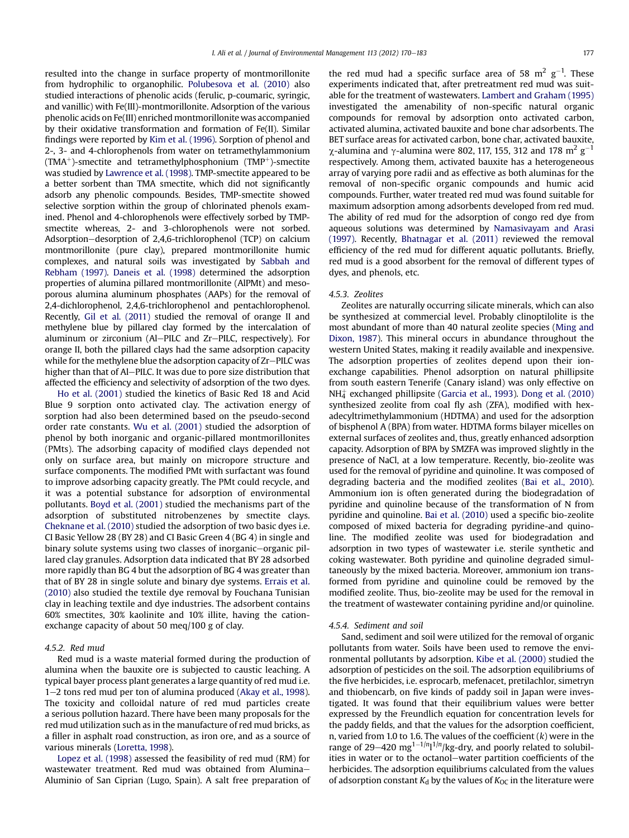resulted into the change in surface property of montmorillonite from hydrophilic to organophilic. [Polubesova et al. \(2010\)](#page-12-0) also studied interactions of phenolic acids (ferulic, p-coumaric, syringic, and vanillic) with Fe(III)-montmorillonite. Adsorption of the various phenolic acids on Fe(III) enriched montmorillonite was accompanied by their oxidative transformation and formation of Fe(II). Similar findings were reported by [Kim et al. \(1996\).](#page-11-0) Sorption of phenol and 2-, 3- and 4-chlorophenols from water on tetramethylammonium  $(TMA<sup>+</sup>)$ -smectite and tetramethylphosphonium  $(TMP<sup>+</sup>)$ -smectite was studied by [Lawrence et al. \(1998\)](#page-11-0). TMP-smectite appeared to be a better sorbent than TMA smectite, which did not significantly adsorb any phenolic compounds. Besides, TMP-smectite showed selective sorption within the group of chlorinated phenols examined. Phenol and 4-chlorophenols were effectively sorbed by TMPsmectite whereas, 2- and 3-chlorophenols were not sorbed. Adsorption–desorption of 2,4,6-trichlorophenol (TCP) on calcium montmorillonite (pure clay), prepared montmorillonite humic complexes, and natural soils was investigated by [Sabbah and](#page-12-0) [Rebham \(1997\)](#page-12-0). [Daneis et al. \(1998\)](#page-10-0) determined the adsorption properties of alumina pillared montmorillonite (AlPMt) and mesoporous alumina aluminum phosphates (AAPs) for the removal of 2,4-dichlorophenol, 2,4,6-trichlorophenol and pentachlorophenol. Recently, [Gil et al. \(2011\)](#page-11-0) studied the removal of orange II and methylene blue by pillared clay formed by the intercalation of aluminum or zirconium (Al-PILC and Zr-PILC, respectively). For orange II, both the pillared clays had the same adsorption capacity while for the methylene blue the adsorption capacity of  $Zr$ –PILC was higher than that of Al-PILC. It was due to pore size distribution that affected the efficiency and selectivity of adsorption of the two dyes.

[Ho et al. \(2001\)](#page-11-0) studied the kinetics of Basic Red 18 and Acid Blue 9 sorption onto activated clay. The activation energy of sorption had also been determined based on the pseudo-second order rate constants. [Wu et al. \(2001\)](#page-13-0) studied the adsorption of phenol by both inorganic and organic-pillared montmorillonites (PMts). The adsorbing capacity of modified clays depended not only on surface area, but mainly on micropore structure and surface components. The modified PMt with surfactant was found to improve adsorbing capacity greatly. The PMt could recycle, and it was a potential substance for adsorption of environmental pollutants. [Boyd et al. \(2001\)](#page-10-0) studied the mechanisms part of the adsorption of substituted nitrobenzenes by smectite clays. [Cheknane et al. \(2010\)](#page-10-0) studied the adsorption of two basic dyes i.e. CI Basic Yellow 28 (BY 28) and CI Basic Green 4 (BG 4) in single and binary solute systems using two classes of inorganic-organic pillared clay granules. Adsorption data indicated that BY 28 adsorbed more rapidly than BG 4 but the adsorption of BG 4 was greater than that of BY 28 in single solute and binary dye systems. [Errais et al.](#page-11-0) [\(2010\)](#page-11-0) also studied the textile dye removal by Fouchana Tunisian clay in leaching textile and dye industries. The adsorbent contains 60% smectites, 30% kaolinite and 10% illite, having the cationexchange capacity of about 50 meq/100 g of clay.

#### 4.5.2. Red mud

Red mud is a waste material formed during the production of alumina when the bauxite ore is subjected to caustic leaching. A typical bayer process plant generates a large quantity of red mud i.e.  $1-2$  tons red mud per ton of alumina produced [\(Akay et al., 1998\)](#page-10-0). The toxicity and colloidal nature of red mud particles create a serious pollution hazard. There have been many proposals for the red mud utilization such as in the manufacture of red mud bricks, as a filler in asphalt road construction, as iron ore, and as a source of various minerals ([Loretta, 1998\)](#page-12-0).

[Lopez et al. \(1998\)](#page-12-0) assessed the feasibility of red mud (RM) for wastewater treatment. Red mud was obtained from Alumina-Aluminio of San Ciprian (Lugo, Spain). A salt free preparation of

the red mud had a specific surface area of 58  $m^2$   $g^{-1}$ . These experiments indicated that, after pretreatment red mud was suitable for the treatment of wastewaters. [Lambert and Graham \(1995\)](#page-11-0) investigated the amenability of non-specific natural organic compounds for removal by adsorption onto activated carbon, activated alumina, activated bauxite and bone char adsorbents. The BET surface areas for activated carbon, bone char, activated bauxite,  $\chi$ -alumina and  $\gamma$ -alumina were 802, 117, 155, 312 and 178 m<sup>2</sup> g<sup>-1</sup><br>respectively. Among them, activated bauxite has a heterogeneous respectively. Among them, activated bauxite has a heterogeneous array of varying pore radii and as effective as both aluminas for the removal of non-specific organic compounds and humic acid compounds. Further, water treated red mud was found suitable for maximum adsorption among adsorbents developed from red mud. The ability of red mud for the adsorption of congo red dye from aqueous solutions was determined by [Namasivayam and Arasi](#page-12-0) [\(1997\).](#page-12-0) Recently, [Bhatnagar et al. \(2011\)](#page-10-0) reviewed the removal efficiency of the red mud for different aquatic pollutants. Briefly, red mud is a good absorbent for the removal of different types of dyes, and phenols, etc.

#### 4.5.3. Zeolites

Zeolites are naturally occurring silicate minerals, which can also be synthesized at commercial level. Probably clinoptilolite is the most abundant of more than 40 natural zeolite species [\(Ming and](#page-12-0) [Dixon, 1987](#page-12-0)). This mineral occurs in abundance throughout the western United States, making it readily available and inexpensive. The adsorption properties of zeolites depend upon their ionexchange capabilities. Phenol adsorption on natural phillipsite from south eastern Tenerife (Canary island) was only effective on NH4 þ exchanged phillipsite [\(Garcia et al., 1993](#page-11-0)). [Dong et al. \(2010\)](#page-11-0) synthesized zeolite from coal fly ash (ZFA), modified with hexadecyltrimethylammonium (HDTMA) and used for the adsorption of bisphenol A (BPA) from water. HDTMA forms bilayer micelles on external surfaces of zeolites and, thus, greatly enhanced adsorption capacity. Adsorption of BPA by SMZFA was improved slightly in the presence of NaCl, at a low temperature. Recently, bio-zeolite was used for the removal of pyridine and quinoline. It was composed of degrading bacteria and the modified zeolites [\(Bai et al., 2010\)](#page-10-0). Ammonium ion is often generated during the biodegradation of pyridine and quinoline because of the transformation of N from pyridine and quinoline. [Bai et al. \(2010\)](#page-10-0) used a specific bio-zeolite composed of mixed bacteria for degrading pyridine-and quinoline. The modified zeolite was used for biodegradation and adsorption in two types of wastewater i.e. sterile synthetic and coking wastewater. Both pyridine and quinoline degraded simultaneously by the mixed bacteria. Moreover, ammonium ion transformed from pyridine and quinoline could be removed by the modified zeolite. Thus, bio-zeolite may be used for the removal in the treatment of wastewater containing pyridine and/or quinoline.

#### 4.5.4. Sediment and soil

Sand, sediment and soil were utilized for the removal of organic pollutants from water. Soils have been used to remove the environmental pollutants by adsorption. [Kibe et al. \(2000\)](#page-11-0) studied the adsorption of pesticides on the soil. The adsorption equilibriums of the five herbicides, i.e. esprocarb, mefenacet, pretilachlor, simetryn and thiobencarb, on five kinds of paddy soil in Japan were investigated. It was found that their equilibrium values were better expressed by the Freundlich equation for concentration levels for the paddy fields, and that the values for the adsorption coefficient, n, varied from 1.0 to 1.6. The values of the coefficient  $(k)$  were in the range of 29–420  $mg^{1-1/n}$ <sup>1/n</sup>/kg-dry, and poorly related to solubilities in water or to the octanol-water partition coefficients of the herbicides. The adsorption equilibriums calculated from the values of adsorption constant  $K_d$  by the values of  $K_{OC}$  in the literature were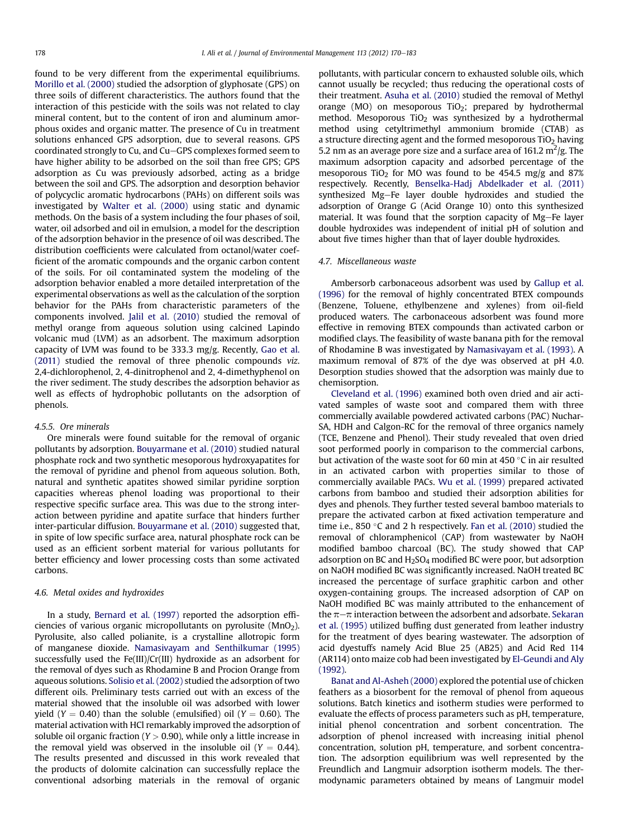found to be very different from the experimental equilibriums. [Morillo et al. \(2000\)](#page-12-0) studied the adsorption of glyphosate (GPS) on three soils of different characteristics. The authors found that the interaction of this pesticide with the soils was not related to clay mineral content, but to the content of iron and aluminum amorphous oxides and organic matter. The presence of Cu in treatment solutions enhanced GPS adsorption, due to several reasons. GPS coordinated strongly to Cu, and Cu-GPS complexes formed seem to have higher ability to be adsorbed on the soil than free GPS; GPS adsorption as Cu was previously adsorbed, acting as a bridge between the soil and GPS. The adsorption and desorption behavior of polycyclic aromatic hydrocarbons (PAHs) on different soils was investigated by [Walter et al. \(2000\)](#page-13-0) using static and dynamic methods. On the basis of a system including the four phases of soil, water, oil adsorbed and oil in emulsion, a model for the description of the adsorption behavior in the presence of oil was described. The distribution coefficients were calculated from octanol/water coefficient of the aromatic compounds and the organic carbon content of the soils. For oil contaminated system the modeling of the adsorption behavior enabled a more detailed interpretation of the experimental observations as well as the calculation of the sorption behavior for the PAHs from characteristic parameters of the components involved. [Jalil et al. \(2010\)](#page-11-0) studied the removal of methyl orange from aqueous solution using calcined Lapindo volcanic mud (LVM) as an adsorbent. The maximum adsorption capacity of LVM was found to be 333.3 mg/g. Recently, [Gao et al.](#page-11-0) [\(2011\)](#page-11-0) studied the removal of three phenolic compounds viz. 2,4-dichlorophenol, 2, 4-dinitrophenol and 2, 4-dimethyphenol on the river sediment. The study describes the adsorption behavior as well as effects of hydrophobic pollutants on the adsorption of phenols.

#### 4.5.5. Ore minerals

Ore minerals were found suitable for the removal of organic pollutants by adsorption. [Bouyarmane et al. \(2010\)](#page-10-0) studied natural phosphate rock and two synthetic mesoporous hydroxyapatites for the removal of pyridine and phenol from aqueous solution. Both, natural and synthetic apatites showed similar pyridine sorption capacities whereas phenol loading was proportional to their respective specific surface area. This was due to the strong interaction between pyridine and apatite surface that hinders further inter-particular diffusion. [Bouyarmane et al. \(2010\)](#page-10-0) suggested that, in spite of low specific surface area, natural phosphate rock can be used as an efficient sorbent material for various pollutants for better efficiency and lower processing costs than some activated carbons.

#### 4.6. Metal oxides and hydroxides

In a study, [Bernard et al. \(1997\)](#page-10-0) reported the adsorption efficiencies of various organic micropollutants on pyrolusite  $(MnO<sub>2</sub>)$ . Pyrolusite, also called polianite, is a crystalline allotropic form of manganese dioxide. [Namasivayam and Senthilkumar \(1995\)](#page-12-0) successfully used the Fe(III)/Cr(III) hydroxide as an adsorbent for the removal of dyes such as Rhodamine B and Procion Orange from aqueous solutions. [Solisio et al. \(2002\)](#page-12-0) studied the adsorption of two different oils. Preliminary tests carried out with an excess of the material showed that the insoluble oil was adsorbed with lower yield (Y = 0.40) than the soluble (emulsified) oil (Y = 0.60). The material activation with HCl remarkably improved the adsorption of soluble oil organic fraction ( $Y > 0.90$ ), while only a little increase in the removal yield was observed in the insoluble oil  $(Y = 0.44)$ . The results presented and discussed in this work revealed that the products of dolomite calcination can successfully replace the conventional adsorbing materials in the removal of organic pollutants, with particular concern to exhausted soluble oils, which cannot usually be recycled; thus reducing the operational costs of their treatment. [Asuha et al. \(2010\)](#page-10-0) studied the removal of Methyl orange (MO) on mesoporous TiO<sub>2</sub>; prepared by hydrothermal method. Mesoporous TiO<sub>2</sub> was synthesized by a hydrothermal method using cetyltrimethyl ammonium bromide (CTAB) as a structure directing agent and the formed mesoporous  $TiO<sub>2</sub>$  having 5.2 nm as an average pore size and a surface area of 161.2  $\mathrm{m}^2/\mathrm{g}$ . The maximum adsorption capacity and adsorbed percentage of the mesoporous TiO<sub>2</sub> for MO was found to be 454.5 mg/g and 87% respectively. Recently, [Benselka-Hadj Abdelkader et al. \(2011\)](#page-10-0) synthesized Mg-Fe layer double hydroxides and studied the adsorption of Orange G (Acid Orange 10) onto this synthesized material. It was found that the sorption capacity of Mg–Fe layer double hydroxides was independent of initial pH of solution and about five times higher than that of layer double hydroxides.

#### 4.7. Miscellaneous waste

Ambersorb carbonaceous adsorbent was used by [Gallup et al.](#page-11-0) [\(1996\)](#page-11-0) for the removal of highly concentrated BTEX compounds (Benzene, Toluene, ethylbenzene and xylenes) from oil-field produced waters. The carbonaceous adsorbent was found more effective in removing BTEX compounds than activated carbon or modified clays. The feasibility of waste banana pith for the removal of Rhodamine B was investigated by [Namasivayam et al. \(1993\)](#page-12-0). A maximum removal of 87% of the dye was observed at pH 4.0. Desorption studies showed that the adsorption was mainly due to chemisorption.

[Cleveland et al. \(1996\)](#page-10-0) examined both oven dried and air activated samples of waste soot and compared them with three commercially available powdered activated carbons (PAC) Nuchar-SA, HDH and Calgon-RC for the removal of three organics namely (TCE, Benzene and Phenol). Their study revealed that oven dried soot performed poorly in comparison to the commercial carbons, but activation of the waste soot for 60 min at 450  $\degree$ C in air resulted in an activated carbon with properties similar to those of commercially available PACs. [Wu et al. \(1999\)](#page-13-0) prepared activated carbons from bamboo and studied their adsorption abilities for dyes and phenols. They further tested several bamboo materials to prepare the activated carbon at fixed activation temperature and time i.e., 850  $\degree$ C and 2 h respectively. [Fan et al. \(2010\)](#page-11-0) studied the removal of chloramphenicol (CAP) from wastewater by NaOH modified bamboo charcoal (BC). The study showed that CAP adsorption on BC and  $H<sub>2</sub>SO<sub>4</sub>$  modified BC were poor, but adsorption on NaOH modified BC was significantly increased. NaOH treated BC increased the percentage of surface graphitic carbon and other oxygen-containing groups. The increased adsorption of CAP on NaOH modified BC was mainly attributed to the enhancement of the  $\pi-\pi$  interaction between the adsorbent and adsorbate. [Sekaran](#page-12-0) [et al. \(1995\)](#page-12-0) utilized buffing dust generated from leather industry for the treatment of dyes bearing wastewater. The adsorption of acid dyestuffs namely Acid Blue 25 (AB25) and Acid Red 114 (AR114) onto maize cob had been investigated by [El-Geundi and Aly](#page-11-0) [\(1992\)](#page-11-0).

[Banat and Al-Asheh \(2000\)](#page-10-0) explored the potential use of chicken feathers as a biosorbent for the removal of phenol from aqueous solutions. Batch kinetics and isotherm studies were performed to evaluate the effects of process parameters such as pH, temperature, initial phenol concentration and sorbent concentration. The adsorption of phenol increased with increasing initial phenol concentration, solution pH, temperature, and sorbent concentration. The adsorption equilibrium was well represented by the Freundlich and Langmuir adsorption isotherm models. The thermodynamic parameters obtained by means of Langmuir model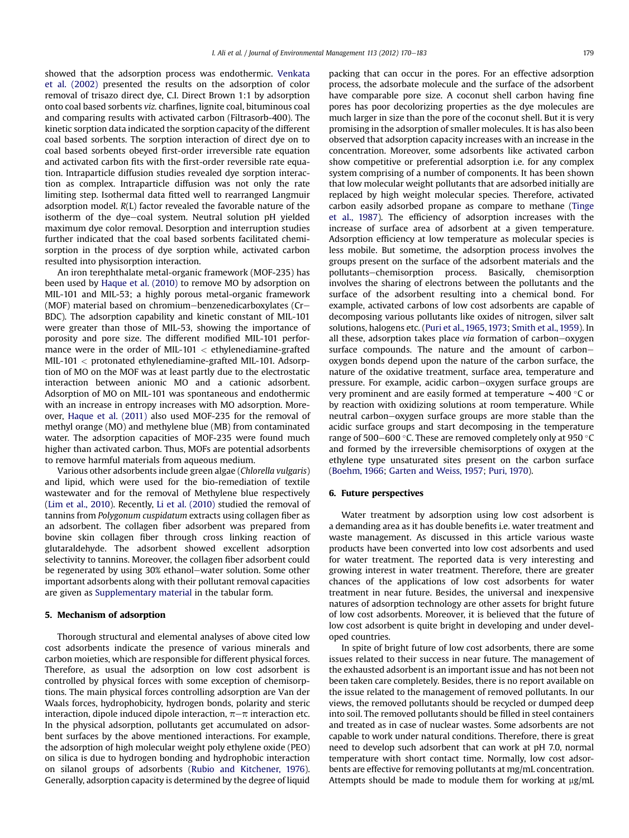showed that the adsorption process was endothermic. [Venkata](#page-13-0) [et al. \(2002\)](#page-13-0) presented the results on the adsorption of color removal of trisazo direct dye, C.I. Direct Brown 1:1 by adsorption onto coal based sorbents viz. charfines, lignite coal, bituminous coal and comparing results with activated carbon (Filtrasorb-400). The kinetic sorption data indicated the sorption capacity of the different coal based sorbents. The sorption interaction of direct dye on to coal based sorbents obeyed first-order irreversible rate equation and activated carbon fits with the first-order reversible rate equation. Intraparticle diffusion studies revealed dye sorption interaction as complex. Intraparticle diffusion was not only the rate limiting step. Isothermal data fitted well to rearranged Langmuir adsorption model. R(L) factor revealed the favorable nature of the isotherm of the dye-coal system. Neutral solution pH yielded maximum dye color removal. Desorption and interruption studies further indicated that the coal based sorbents facilitated chemisorption in the process of dye sorption while, activated carbon resulted into physisorption interaction.

An iron terephthalate metal-organic framework (MOF-235) has been used by [Haque et al. \(2010\)](#page-11-0) to remove MO by adsorption on MIL-101 and MIL-53; a highly porous metal-organic framework (MOF) material based on chromium-benzenedicarboxylates (Cr-BDC). The adsorption capability and kinetic constant of MIL-101 were greater than those of MIL-53, showing the importance of porosity and pore size. The different modified MIL-101 performance were in the order of MIL-101 < ethylenediamine-grafted MIL-101 < protonated ethylenediamine-grafted MIL-101. Adsorption of MO on the MOF was at least partly due to the electrostatic interaction between anionic MO and a cationic adsorbent. Adsorption of MO on MIL-101 was spontaneous and endothermic with an increase in entropy increases with MO adsorption. Moreover, [Haque et al. \(2011\)](#page-11-0) also used MOF-235 for the removal of methyl orange (MO) and methylene blue (MB) from contaminated water. The adsorption capacities of MOF-235 were found much higher than activated carbon. Thus, MOFs are potential adsorbents to remove harmful materials from aqueous medium.

Various other adsorbents include green algae (Chlorella vulgaris) and lipid, which were used for the bio-remediation of textile wastewater and for the removal of Methylene blue respectively ([Lim et al., 2010](#page-11-0)). Recently, [Li et al. \(2010\)](#page-11-0) studied the removal of tannins from Polygonum cuspidatum extracts using collagen fiber as an adsorbent. The collagen fiber adsorbent was prepared from bovine skin collagen fiber through cross linking reaction of glutaraldehyde. The adsorbent showed excellent adsorption selectivity to tannins. Moreover, the collagen fiber adsorbent could be regenerated by using 30% ethanol-water solution. Some other important adsorbents along with their pollutant removal capacities are given as Supplementary material in the tabular form.

#### 5. Mechanism of adsorption

Thorough structural and elemental analyses of above cited low cost adsorbents indicate the presence of various minerals and carbon moieties, which are responsible for different physical forces. Therefore, as usual the adsorption on low cost adsorbent is controlled by physical forces with some exception of chemisorptions. The main physical forces controlling adsorption are Van der Waals forces, hydrophobicity, hydrogen bonds, polarity and steric interaction, dipole induced dipole interaction,  $\pi-\pi$  interaction etc. In the physical adsorption, pollutants get accumulated on adsorbent surfaces by the above mentioned interactions. For example, the adsorption of high molecular weight poly ethylene oxide (PEO) on silica is due to hydrogen bonding and hydrophobic interaction on silanol groups of adsorbents [\(Rubio and Kitchener, 1976\)](#page-12-0). Generally, adsorption capacity is determined by the degree of liquid packing that can occur in the pores. For an effective adsorption process, the adsorbate molecule and the surface of the adsorbent have comparable pore size. A coconut shell carbon having fine pores has poor decolorizing properties as the dye molecules are much larger in size than the pore of the coconut shell. But it is very promising in the adsorption of smaller molecules. It is has also been observed that adsorption capacity increases with an increase in the concentration. Moreover, some adsorbents like activated carbon show competitive or preferential adsorption i.e. for any complex system comprising of a number of components. It has been shown that low molecular weight pollutants that are adsorbed initially are replaced by high weight molecular species. Therefore, activated carbon easily adsorbed propane as compare to methane ([Tinge](#page-13-0) [et al., 1987\)](#page-13-0). The efficiency of adsorption increases with the increase of surface area of adsorbent at a given temperature. Adsorption efficiency at low temperature as molecular species is less mobile. But sometime, the adsorption process involves the groups present on the surface of the adsorbent materials and the pollutants-chemisorption process. Basically, chemisorption involves the sharing of electrons between the pollutants and the surface of the adsorbent resulting into a chemical bond. For example, activated carbons of low cost adsorbents are capable of decomposing various pollutants like oxides of nitrogen, silver salt solutions, halogens etc. ([Puri et al., 1965](#page-12-0),[1973](#page-12-0); [Smith et al., 1959](#page-12-0)). In all these, adsorption takes place via formation of carbon-oxygen surface compounds. The nature and the amount of carbonoxygen bonds depend upon the nature of the carbon surface, the nature of the oxidative treatment, surface area, temperature and pressure. For example, acidic carbon-oxygen surface groups are very prominent and are easily formed at temperature  $\sim$ 400 °C or by reaction with oxidizing solutions at room temperature. While neutral carbon-oxygen surface groups are more stable than the acidic surface groups and start decomposing in the temperature range of 500–600 °C. These are removed completely only at 950 °C and formed by the irreversible chemisorptions of oxygen at the ethylene type unsaturated sites present on the carbon surface ([Boehm, 1966](#page-10-0); [Garten and Weiss, 1957;](#page-11-0) [Puri, 1970](#page-12-0)).

#### 6. Future perspectives

Water treatment by adsorption using low cost adsorbent is a demanding area as it has double benefits i.e. water treatment and waste management. As discussed in this article various waste products have been converted into low cost adsorbents and used for water treatment. The reported data is very interesting and growing interest in water treatment. Therefore, there are greater chances of the applications of low cost adsorbents for water treatment in near future. Besides, the universal and inexpensive natures of adsorption technology are other assets for bright future of low cost adsorbents. Moreover, it is believed that the future of low cost adsorbent is quite bright in developing and under developed countries.

In spite of bright future of low cost adsorbents, there are some issues related to their success in near future. The management of the exhausted adsorbent is an important issue and has not been not been taken care completely. Besides, there is no report available on the issue related to the management of removed pollutants. In our views, the removed pollutants should be recycled or dumped deep into soil. The removed pollutants should be filled in steel containers and treated as in case of nuclear wastes. Some adsorbents are not capable to work under natural conditions. Therefore, there is great need to develop such adsorbent that can work at pH 7.0, normal temperature with short contact time. Normally, low cost adsorbents are effective for removing pollutants at mg/mL concentration. Attempts should be made to module them for working at  $\mu$ g/mL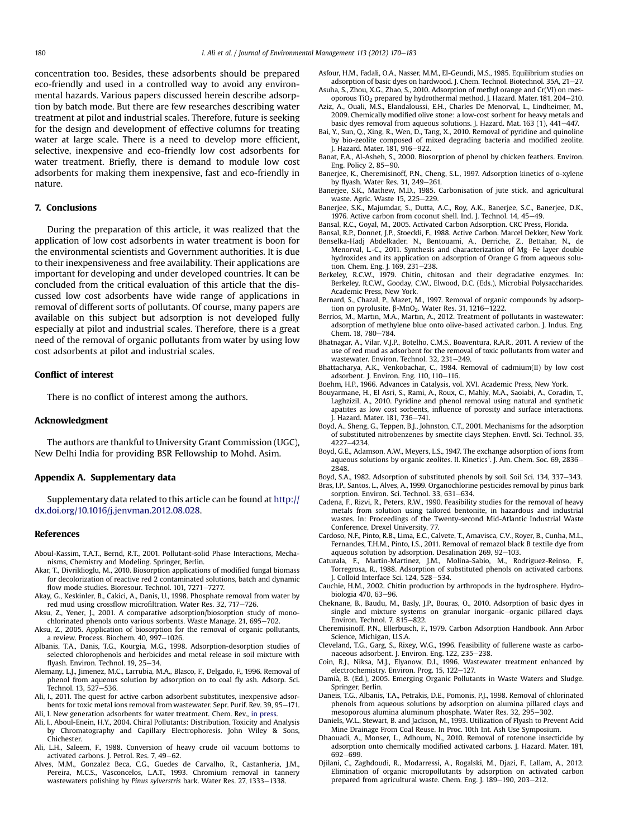<span id="page-10-0"></span>concentration too. Besides, these adsorbents should be prepared eco-friendly and used in a controlled way to avoid any environmental hazards. Various papers discussed herein describe adsorption by batch mode. But there are few researches describing water treatment at pilot and industrial scales. Therefore, future is seeking for the design and development of effective columns for treating water at large scale. There is a need to develop more efficient, selective, inexpensive and eco-friendly low cost adsorbents for water treatment. Briefly, there is demand to module low cost adsorbents for making them inexpensive, fast and eco-friendly in nature.

#### 7. Conclusions

During the preparation of this article, it was realized that the application of low cost adsorbents in water treatment is boon for the environmental scientists and Government authorities. It is due to their inexpensiveness and free availability. Their applications are important for developing and under developed countries. It can be concluded from the critical evaluation of this article that the discussed low cost adsorbents have wide range of applications in removal of different sorts of pollutants. Of course, many papers are available on this subject but adsorption is not developed fully especially at pilot and industrial scales. Therefore, there is a great need of the removal of organic pollutants from water by using low cost adsorbents at pilot and industrial scales.

#### Conflict of interest

There is no conflict of interest among the authors.

#### Acknowledgment

The authors are thankful to University Grant Commission (UGC), New Delhi India for providing BSR Fellowship to Mohd. Asim.

#### Appendix A. Supplementary data

Supplementary data related to this article can be found at [http://](http://dx.doi.org/10.1016/j.jenvman.2012.08.028) [dx.doi.org/10.1016/j.jenvman.2012.08.028](http://dx.doi.org/10.1016/j.jenvman.2012.08.028).

#### References

- Aboul-Kassim, T.A.T., Bernd, R.T., 2001. Pollutant-solid Phase Interactions, Mechanisms, Chemistry and Modeling. Springer, Berlin.
- Akar, T., Divriklioglu, M., 2010. Biosorption applications of modified fungal biomass for decolorization of reactive red 2 contaminated solutions, batch and dynamic flow mode studies. Bioresour. Technol. 101, 7271-7277.
- Akay, G., Keskinler, B., Cakici, A., Danis, U., 1998. Phosphate removal from water by red mud using crossflow microfiltration. Water Res. 32, 717-726.
- Aksu, Z., Yener, J., 2001. A comparative adsorption/biosorption study of mono $chlorinated$  phenols onto various sorbents. Waste Manage, 21, 695 $-702$ .
- Aksu, Z., 2005. Application of biosorption for the removal of organic pollutants, a review. Process. Biochem.  $40, 997-1026$ .
- Albanis, T.A., Danis, T.G., Kourgia, M.G., 1998. Adsorption-desorption studies of selected chlorophenols and herbicides and metal release in soil mixture with flyash. Environ. Technol. 19, 25-34.
- Alemany, L.J., Jimenez, M.C., Larrubia, M.A., Blasco, F., Delgado, F., 1996. Removal of phenol from aqueous solution by adsorption on to coal fly ash. Adsorp. Sci. Technol. 13, 527-536.
- Ali, I., 2011. The quest for active carbon adsorbent substitutes, inexpensive adsorbents for toxic metal ions removal from wastewater. Sepr. Purif. Rev. 39, 95-171. Ali, I. New generation adsorbents for water treatment. Chem. Rev., [in press.](http://dx.doi.org/10.1021/cr300133d)
- Ali, I., Aboul-Enein, H.Y., 2004. Chiral Pollutants: Distribution, Toxicity and Analysis by Chromatography and Capillary Electrophoresis. John Wiley & Sons, Chichester.
- Ali, L.H., Saleem, F., 1988. Conversion of heavy crude oil vacuum bottoms to activated carbons. J. Petrol. Res. 7, 49-62.
- Alves, M.M., Gonzalez Beca, C.G., Guedes de Carvalho, R., Castanheria, J.M., Pereira, M.C.S., Vasconcelos, L.A.T., 1993. Chromium removal in tannery wastewaters polishing by Pinus sylverstris bark. Water Res. 27, 1333-1338.
- Asfour, H.M., Fadali, O.A., Nasser, M.M., EI-Geundi, M.S., 1985. Equilibrium studies on adsorption of basic dyes on hardwood. J. Chem. Technol. Biotechnol. 35A,  $21-27$ . Asuha, S., Zhou, X.G., Zhao, S., 2010. Adsorption of methyl orange and Cr(VI) on mes-
- oporous TiO<sub>2</sub> prepared by hydrothermal method. J. Hazard. Mater. 181, 204-210. Aziz, A., Ouali, M.S., Elandaloussi, E.H., Charles De Menorval, L., Lindheimer, M.,
- 2009. Chemically modified olive stone: a low-cost sorbent for heavy metals and basic dyes removal from aqueous solutions. J. Hazard. Mat. 163  $(1)$ , 441-447.
- Bai, Y., Sun, Q., Xing, R., Wen, D., Tang, X., 2010. Removal of pyridine and quinoline by bio-zeolite composed of mixed degrading bacteria and modified zeolite. J. Hazard. Mater. 181, 916-922.
- Banat, F.A., Al-Asheh, S., 2000. Biosorption of phenol by chicken feathers. Environ. Eng. Policy  $2.85-90$ .
- Banerjee, K., Cheremisinoff, P.N., Cheng, S.L., 1997. Adsorption kinetics of o-xylene by flyash. Water Res. 31,  $249-261$ .
- Banerjee, S.K., Mathew, M.D., 1985. Carbonisation of jute stick, and agricultural waste. Agric. Waste 15, 225-229.
- Banerjee, S.K., Majumdar, S., Dutta, A.C., Roy, A.K., Banerjee, S.C., Banerjee, D.K., 1976. Active carbon from coconut shell. Ind. J. Technol. 14, 45-49.
- Bansal, R.C., Goyal, M., 2005. Activated Carbon Adsorption. CRC Press, Florida.
- Bansal, R.P., Donnet, J.P., Stoeckli, F., 1988. Active Carbon. Marcel Dekker, New York. Benselka-Hadj Abdelkader, N., Bentouami, A., Derriche, Z., Bettahar, N., de Menorval, L.-C., 2011. Synthesis and characterization of Mg-Fe layer double hydroxides and its application on adsorption of Orange G from aqueous solution. Chem. Eng. J. 169, 231-238.
- Berkeley, R.C.W., 1979. Chitin, chitosan and their degradative enzymes. In: Berkeley, R.C.W., Gooday, C.W., Elwood, D.C. (Eds.), Microbial Polysaccharides. Academic Press, New York.
- Bernard, S., Chazal, P., Mazet, M., 1997. Removal of organic compounds by adsorption on pyrolusite,  $\beta$ -MnO<sub>2</sub>. Water Res. 31, 1216-1222.
- Berrios, M., Martın, M.A., Martın, A., 2012. Treatment of pollutants in wastewater: adsorption of methylene blue onto olive-based activated carbon. J. Indus. Eng. Chem. 18, 780-784.
- Bhatnagar, A., Vilar, V.J.P., Botelho, C.M.S., Boaventura, R.A.R., 2011. A review of the use of red mud as adsorbent for the removal of toxic pollutants from water and wastewater. Environ. Technol. 32, 231-249.
- Bhattacharya, A.K., Venkobachar, C., 1984. Removal of cadmium(II) by low cost adsorbent. J. Environ. Eng. 110, 110-116.
- Boehm, H.P., 1966. Advances in Catalysis, vol. XVI. Academic Press, New York.
- Bouyarmane, H., El Asri, S., Rami, A., Roux, C., Mahly, M.A., Saoiabi, A., Coradin, T., Laghzizil, A., 2010. Pyridine and phenol removal using natural and synthetic apatites as low cost sorbents, influence of porosity and surface interactions. J. Hazard. Mater. 181, 736-741.
- Boyd, A., Sheng, G., Teppen, B.J., Johnston, C.T., 2001. Mechanisms for the adsorption of substituted nitrobenzenes by smectite clays Stephen. Envtl. Sci. Technol. 35, 4227-4234.
- Boyd, G.E., Adamson, A.W., Meyers, L.S., 1947. The exchange adsorption of ions from aqueous solutions by organic zeolites. II. Kinetics<sup>1</sup>. J. Am. Chem. Soc. 69, 2836-2848.
- Boyd, S.A., 1982. Adsorption of substituted phenols by soil. Soil Sci. 134, 337-343. Bras, I.P., Santos, L., Alves, A., 1999. Organochlorine pesticides removal by pinus bark
- sorption. Environ. Sci. Technol. 33, 631-634. Cadena, F., Rizvi, R., Peters, R.W., 1990. Feasibility studies for the removal of heavy metals from solution using tailored bentonite, in hazardous and industrial wastes. In: Proceedings of the Twenty-second Mid-Atlantic Industrial Waste Conference, Drexel University, 77.
- Cardoso, N.F., Pinto, R.B., Lima, E.C., Calvete, T., Amavisca, C.V., Royer, B., Cunha, M.L., Fernandes, T.H.M., Pinto, I.S., 2011. Removal of remazol black B textile dye from aqueous solution by adsorption. Desalination  $269$ ,  $92-103$ .
- Caturala, F., Martin-Martinez, J.M., Molina-Sabio, M., Rodriguez-Reinso, F., Torregrosa, R., 1988. Adsorption of substituted phenols on activated carbons. J. Colloid Interface Sci. 124, 528-534.
- Cauchie, H.M., 2002. Chitin production by arthropods in the hydrosphere. Hydrobiologia 470, 63-96.
- Cheknane, B., Baudu, M., Basly, J.P., Bouras, O., 2010. Adsorption of basic dyes in single and mixture systems on granular inorganic-organic pillared clays. Environ. Technol. 7, 815-822.
- Cheremisinoff, P.N., Ellerbusch, F., 1979. Carbon Adsorption Handbook. Ann Arbor Science, Michigan, U.S.A.
- Cleveland, T.G., Garg, S., Rixey, W.G., 1996. Feasibility of fullerene waste as carbonaceous adsorbent. J. Environ. Eng. 122, 235-238.
- Coin, R.J., Niksa, M.J., Elyanow, D.I., 1996. Wastewater treatment enhanced by electrochemistry. Environ. Prog. 15, 122-127.
- Damià, B. (Ed.), 2005. Emerging Organic Pollutants in Waste Waters and Sludge. Springer, Berlin.
- Daneis, T.G., Albanis, T.A., Petrakis, D.E., Pomonis, P.J., 1998. Removal of chlorinated phenols from aqueous solutions by adsorption on alumina pillared clays and mesoporous alumina aluminum phosphate. Water Res. 32, 295-302.
- Daniels, W.L., Stewart, B. and Jackson, M., 1993. Utilization of Flyash to Prevent Acid Mine Drainage From Coal Reuse. In Proc. 10th Int. Ash Use Symposium.
- Dhaouadi, A., Monser, L., Adhoum, N., 2010. Removal of rotenone insecticide by adsorption onto chemically modified activated carbons. J. Hazard. Mater. 181, 692-699.
- Djilani, C., Zaghdoudi, R., Modarressi, A., Rogalski, M., Djazi, F., Lallam, A., 2012. Elimination of organic micropollutants by adsorption on activated carbon prepared from agricultural waste. Chem. Eng. J. 189-190, 203-212.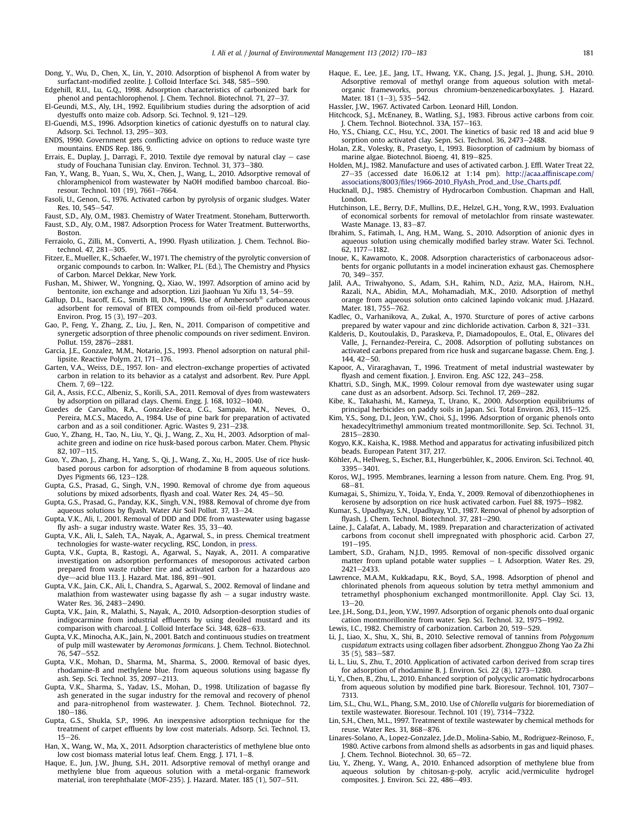- <span id="page-11-0"></span>Dong, Y., Wu, D., Chen, X., Lin, Y., 2010. Adsorption of bisphenol A from water by surfactant-modified zeolite. J. Colloid Interface Sci. 348, 585-590.
- Edgehill, R.U., Lu, G.Q., 1998. Adsorption characteristics of carbonized bark for phenol and pentachlorophenol. J. Chem. Technol. Biotechnol. 71, 27-37.
- El-Geundi, M.S., Aly, I.H., 1992. Equilibrium studies during the adsorption of acid dyestuffs onto maize cob. Adsorp. Sci. Technol. 9,  $121-129$ .
- El-Guendi, M.S., 1996. Adsorption kinetics of cationic dyestuffs on to natural clay. Adsorp. Sci. Technol. 13, 295-303.
- ENDS, 1990. Government gets conflicting advice on options to reduce waste tyre mountains. ENDS Rep. 186, 9.
- Errais, E., Duplay, J., Darragi, F., 2010. Textile dye removal by natural clay  $-$  case study of Fouchana Tunisian clay. Environ. Technol. 31, 373–380.
- Fan, Y., Wang, B., Yuan, S., Wu, X., Chen, J., Wang, L., 2010. Adsorptive removal of chloramphenicol from wastewater by NaOH modified bamboo charcoal. Bioresour. Technol. 101 (19), 7661-7664.
- Fasoli, U., Genon, G., 1976. Activated carbon by pyrolysis of organic sludges. Water  $Res. 10, 545 - 547.$
- Faust, S.D., Aly, O.M., 1983. Chemistry of Water Treatment. Stoneham, Butterworth.
- Faust, S.D., Aly, O.M., 1987. Adsorption Process for Water Treatment. Butterworths, Boston.
- Ferraiolo, G., Zilli, M., Converti, A., 1990. Flyash utilization. J. Chem. Technol. Biotechnol. 47, 281-305.
- Fitzer, E., Mueller, K., Schaefer, W., 1971. The chemistry of the pyrolytic conversion of organic compounds to carbon. In: Walker, P.L. (Ed.), The Chemistry and Physics of Carbon. Marcel Dekkar, New York.
- Fushan, M., Shiwer, W., Yongning, Q., Xiao, W., 1997. Adsorption of amino acid by bentonite, ion exchange and adsorption. Lizi Jiaohuan Yu Xifu 13, 54-59.
- Gallup, D.L., Isacoff, E.G., Smith III, D.N., 1996. Use of Ambersorb® carbonaceous adsorbent for removal of BTEX compounds from oil-field produced water. Environ. Prog. 15 (3), 197-203.
- Gao, P., Feng, Y., Zhang, Z., Liu, J., Ren, N., 2011. Comparison of competitive and synergetic adsorption of three phenolic compounds on river sediment. Environ. Pollut. 159, 2876-2881
- Garcia, J.E., Gonzalez, M.M., Notario, J.S., 1993. Phenol adsorption on natural phillipsite. Reactive Polym. 21, 171-176.
- Garten, V.A., Weiss, D.E., 1957. Ion- and electron-exchange properties of activated carbon in relation to its behavior as a catalyst and adsorbent. Rev. Pure Appl. Chem. 7, 69-122
- Gil, A., Assis, F.C.C., Albeniz, S., Korili, S.A., 2011. Removal of dyes from wastewaters by adsorption on pillarad clays. Chemi. Engg. J. 168, 1032-1040.
- Guedes de Carvalho, R.A., Gonzalez-Beca, C.G., Sampaio, M.N., Neves, O., Pereira, M.C.S., Macedo, A., 1984. Use of pine bark for preparation of activated carbon and as a soil conditioner. Agric. Wastes 9, 231-238.
- Guo, Y., Zhang, H., Tao, N., Liu, Y., Qi, J., Wang, Z., Xu, H., 2003. Adsorption of malachite green and iodine on rice husk-based porous carbon. Mater. Chem. Physic 82, 107-115.
- Guo, Y., Zhao, J., Zhang, H., Yang, S., Qi, J., Wang, Z., Xu, H., 2005. Use of rice huskbased porous carbon for adsorption of rhodamine B from aqueous solutions. Dyes Pigments 66, 123-128.
- Gupta, G.S., Prasad, G., Singh, V.N., 1990. Removal of chrome dye from aqueous solutions by mixed adsorbents, flyash and coal. Water Res. 24, 45-50.
- Gupta, G.S., Prasad, G., Panday, K.K., Singh, V.N., 1988. Removal of chrome dye from aqueous solutions by flyash. Water Air Soil Pollut. 37, 13-24.
- Gupta, V.K., Ali, I., 2001. Removal of DDD and DDE from wastewater using bagasse fly ash- a sugar industry waste. Water Res. 35, 33-40.
- Gupta, V.K., Ali, I., Saleh, T.A., Nayak, A., Agarwal, S., in press. Chemical treatment technologies for waste-water recycling, RSC, London, [in press.](http://dx.doi.org/10.1039/C2RA20340E)
- Gupta, V.K., Gupta, B., Rastogi, A., Agarwal, S., Nayak, A., 2011. A comparative investigation on adsorption performances of mesoporous activated carbon prepared from waste rubber tire and activated carbon for a hazardous azo dye-acid blue 113. J. Hazard. Mat. 186, 891-901.
- Gupta, V.K., Jain, C.K., Ali, I., Chandra, S., Agarwal, S., 2002. Removal of lindane and malathion from wastewater using bagasse fly ash  $-$  a sugar industry waste. Water Res. 36, 2483-2490.
- Gupta, V.K., Jain, R., Malathi, S., Nayak, A., 2010. Adsorption-desorption studies of indigocarmine from industrial effluents by using deoiled mustard and its comparison with charcoal. J. Colloid Interface Sci. 348, 628-633.
- Gupta, V.K., Minocha, A.K., Jain, N., 2001. Batch and continuous studies on treatment of pulp mill wastewater by Aeromonas formicans. J. Chem. Technol. Biotechnol. 76, 547-552.
- Gupta, V.K., Mohan, D., Sharma, M., Sharma, S., 2000. Removal of basic dyes, rhodamine-B and methylene blue. from aqueous solutions using bagasse fly ash. Sep. Sci. Technol. 35, 2097-2113.
- Gupta, V.K., Sharma, S., Yadav, I.S., Mohan, D., 1998. Utilization of bagasse fly ash generated in the sugar industry for the removal and recovery of phenol and para-nitrophenol from wastewater. J. Chem. Technol. Biotechnol. 72,  $180 - 186.$
- Gupta, G.S., Shukla, S.P., 1996. An inexpensive adsorption technique for the treatment of carpet effluents by low cost materials. Adsorp. Sci. Technol. 13,  $15 - 26$ .
- Han, X., Wang, W., Ma, X., 2011. Adsorption characteristics of methylene blue onto low cost biomass material lotus leaf. Chem. Engg.  $I$ , 171, 1-8.
- Haque, E., Jun, J.W., Jhung, S.H., 2011. Adsorptive removal of methyl orange and methylene blue from aqueous solution with a metal-organic framework material, iron terephthalate (MOF-235). J. Hazard. Mater.  $185$  (1),  $507-511$ .
- Haque, E., Lee, J.E., Jang, I.T., Hwang, Y.K., Chang, J.S., Jegal, J., Jhung, S.H., 2010. Adsorptive removal of methyl orange from aqueous solution with metalorganic frameworks, porous chromium-benzenedicarboxylates. J. Hazard.<br>Mater. 181 (1—3), 535—542.
- Hassler, J.W., 1967. Activated Carbon. Leonard Hill, London.
- Hitchcock, S.J., McEnaney, B., Watling, S.J., 1983. Fibrous active carbons from coir. J. Chem. Technol. Biotechnol. 33A, 157e163.
- Ho, Y.S., Chiang, C.C., Hsu, Y.C., 2001. The kinetics of basic red 18 and acid blue 9 sorption onto activated clay. Sepn. Sci. Technol. 36, 2473-2488.
- Holan, Z.R., Volesky, B., Prasetyo, I., 1993. Biosorption of cadmium by biomass of marine algae. Biotechnol. Bioeng. 41, 819-825.
- Holden, M.J., 1982. Manufacture and uses of activated carbon. J. Effl. Water Treat 22,  $27-35$  (accessed date 16.06.12 at 1:14 pm). [http://acaa.af](http://acaa.affiniscape.com/associations/8003/files/1966-2010_FlyAsh_Prod_and_Use_Charts.pdf)finiscape.com/ associations/8003/fi[les/1966-2010\\_FlyAsh\\_Prod\\_and\\_Use\\_Charts.pdf](http://acaa.affiniscape.com/associations/8003/files/1966-2010_FlyAsh_Prod_and_Use_Charts.pdf).
- Hucknall, D.J., 1985. Chemistry of Hydrocarbon Combustion. Chapman and Hall, London.
- Hutchinson, L.E., Berry, D.F., Mullins, D.E., Helzel, G.H., Yong, R.W., 1993. Evaluation of economical sorbents for removal of metolachlor from rinsate wastewater. Waste Manage, 13, 83-87.
- Ibrahim, S., Fatimah, I., Ang, H.M., Wang, S., 2010. Adsorption of anionic dyes in aqueous solution using chemically modified barley straw. Water Sci. Technol. 62, 1177-1182.
- Inoue, K., Kawamoto, K., 2008. Adsorption characteristics of carbonaceous adsorbents for organic pollutants in a model incineration exhaust gas. Chemosphere 70, 349-357.
- Jalil, A.A., Triwahyono, S., Adam, S.H., Rahim, N.D., Aziz, M.A., Hairom, N.H., Razali, N.A., Abidin, M.A., Mohamadiah, M.K., 2010. Adsorption of methyl orange from aqueous solution onto calcined lapindo volcanic mud. J.Hazard. Mater. 181, 755-762.
- Kadlec, O., Varhanikova, A., Zukal, A., 1970. Sturcture of pores of active carbons prepared by water vapour and zinc dichloride activation. Carbon 8, 321-331.
- Kalderis, D., Koutoulakis, D., Paraskeva, P., Diamadopoulos, E., Otal, E., Olivares del Valle, J., Fernandez-Pereira, C., 2008. Adsorption of polluting substances on activated carbons prepared from rice husk and sugarcane bagasse. Chem. Eng. J.  $144, 42 - 50.$
- Kapoor, A., Viraraghavan, T., 1996. Treatment of metal industrial wastewater by flyash and cement fixation. J. Environ. Eng. ASC 122, 243-258.
- Khattri, S.D., Singh, M.K., 1999. Colour removal from dye wastewater using sugar cane dust as an adsorbent. Adsorp. Sci. Technol. 17, 269-282.
- Kibe, K., Takahashi, M., Kameya, T., Urano, K., 2000. Adsorption equilibriums of principal herbicides on paddy soils in Japan. Sci. Total Environ. 263, 115-125.
- Kim, Y.S., Song, D.I., Jeon, Y.W., Choi, S.J., 1996. Adsorption of organic phenols onto hexadecyltrimethyl ammonium treated montmorillonite. Sep. Sci. Technol. 31, 2815-2830.
- Kogyo, K.K., Kaisha, K., 1988. Method and apparatus for activating infusibilized pitch beads. European Patent 317, 217.
- Köhler, A., Hellweg, S., Escher, B.I., Hungerbühler, K., 2006. Environ. Sci. Technol. 40, 3395-3401.
- Koros, W.J., 1995. Membranes, learning a lesson from nature. Chem. Eng. Prog. 91,  $68 - 81$
- Kumagai, S., Shimizu, Y., Toida, Y., Enda, Y., 2009. Removal of dibenzothiophenes in kerosene by adsorption on rice husk activated carbon. Fuel 88, 1975-1982.
- Kumar, S., Upadhyay, S.N., Upadhyay, Y.D., 1987. Removal of phenol by adsorption of flyash. J. Chem. Technol. Biotechnol. 37, 281-290.
- Laine, J., Calafat, A., Labady, M., 1989. Preparation and characterization of activated carbons from coconut shell impregnated with phosphoric acid. Carbon 27,  $191 - 195$
- Lambert, S.D., Graham, N.J.D., 1995. Removal of non-specific dissolved organic matter from upland potable water supplies  $-$  I. Adsorption. Water Res. 29,  $2421 - 2433.$
- Lawrence, M.A.M., Kukkadapu, R.K., Boyd, S.A., 1998. Adsorption of phenol and chlorinated phenols from aqueous solution by tetra methyl ammonium and tetramethyl phosphonium exchanged montmorillonite. Appl. Clay Sci. 13,  $13 - 20.$
- Lee, J.H., Song, D.I., Jeon, Y.W., 1997. Adsorption of organic phenols onto dual organic cation montmorillonite from water. Sep. Sci. Technol. 32, 1975-1992.
- Lewis, I.C., 1982. Chemistry of carbonization. Carbon 20, 519-529.
- Li, J., Liao, X., Shu, X., Shi, B., 2010. Selective removal of tannins from Polygonum cuspidatum extracts using collagen fiber adsorbent. Zhongguo Zhong Yao Za Zhi 35 (5), 583-587.
- Li, L., Liu, S., Zhu, T., 2010. Application of activated carbon derived from scrap tires for adsorption of rhodamine B. J. Environ. Sci. 22  $(8)$ , 1273-1280.
- Li, Y., Chen, B., Zhu, L., 2010. Enhanced sorption of polycyclic aromatic hydrocarbons from aqueous solution by modified pine bark. Bioresour. Technol. 101, 7307-7313.
- Lim, S.L., Chu, W.L., Phang, S.M., 2010. Use of Chlorella vulgaris for bioremediation of textile wastewater. Bioresour. Technol. 101 (19), 7314-7322.
- Lin, S.H., Chen, M.L., 1997. Treatment of textile wastewater by chemical methods for reuse. Water Res. 31, 868-876.
- Linares-Solano, A., Lopez-Gonzalez, J.de.D., Molina-Sabio, M., Rodriguez-Reinoso, F., 1980. Active carbons from almond shells as adsorbents in gas and liquid phases. I. Chem. Technol. Biotechnol. 30, 65-72.
- Liu, Y., Zheng, Y., Wang, A., 2010. Enhanced adsorption of methylene blue from aqueous solution by chitosan-g-poly, acrylic acid./vermiculite hydrogel composites. J. Environ. Sci. 22, 486-493.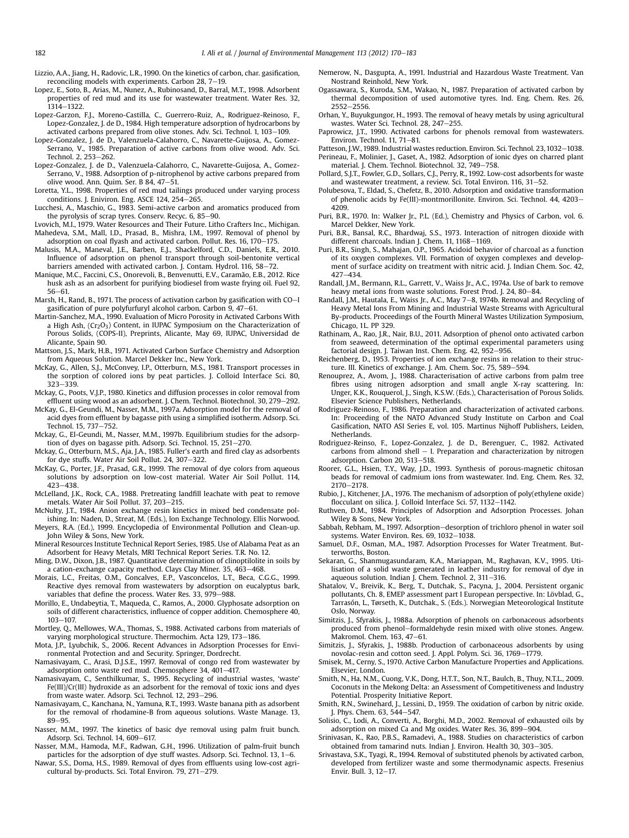- <span id="page-12-0"></span>Lizzio, A.A., Jiang, H., Radovic, L.R., 1990. On the kinetics of carbon, char. gasification, reconciling models with experiments. Carbon 28,  $7-19$ .
- Lopez, E., Soto, B., Arias, M., Nunez, A., Rubinosand, D., Barral, M.T., 1998. Adsorbent properties of red mud and its use for wastewater treatment. Water Res. 32, 1314-1322
- Lopez-Garzon, F.J., Moreno-Castilla, C., Guerrero-Ruiz, A., Rodriguez-Reinoso, F., Lopez-Gonzalez, J. de D., 1984. High temperature adsorption of hydrocarbons by activated carbons prepared from olive stones. Adv. Sci. Technol. 1, 103-109.
- Lopez-Gonzalez, J. de D., Valenzuela-Calahorro, C., Navarette-Guijosa, A., Gomez-Serrano, V., 1985. Preparation of active carbons from olive wood. Adv. Sci. Technol. 2, 253-262.
- Lopez-Gonzalez, J. de D., Valenzuela-Calahorro, C., Navarette-Guijosa, A., Gomez-Serrano, V., 1988. Adsorption of p-nitrophenol by active carbons prepared from olive wood. Ann. Quim. Ser. B 84,  $47-51$ .
- Loretta, Y.L., 1998. Properties of red mud tailings produced under varying process conditions. J. Eniviron. Eng. ASCE 124, 254-265.
- Lucchesi, A., Maschio, G., 1983. Semi-active carbon and aromatics produced from the pyrolysis of scrap tyres. Conserv. Recyc.  $6, 85-90$ .
- Lvovich, M.I., 1979. Water Resources and Their Future. Litho Crafters Inc., Michigan. Mahedeva, S.M., Mall, I.D., Prasad, B., Mishra, I.M., 1997. Removal of phenol by adsorption on coal flyash and activated carbon. Pollut. Res. 16,  $170-175$ .
- Malusis, M.A., Maneval, J.E., Barben, E.J., Shackelford, C.D., Daniels, E.R., 2010. Influence of adsorption on phenol transport through soil-bentonite vertical barriers amended with activated carbon. J. Contam. Hydrol. 116, 58-72.
- Manique, M.C., Faccini, C.S., Onorevoli, B., Benvenutti, E.V., Caramão, E.B., 2012. Rice husk ash as an adsorbent for purifying biodiesel from waste frying oil. Fuel 92,  $56 - 61.$
- Marsh, H., Rand, B., 1971. The process of activation carbon by gasification with CO-I gasification of pure polyfurfuryl alcohol carbon. Carbon 9, 47-61.
- Martin-Sanchez, M.A., 1990. Evaluation of Micro Porosity in Activated Carbons With a High Ash,  $(Cr_2O_3)$  Content, in IUPAC Symposium on the Characterization of Porous Solids, (COPS-II), Preprints, Alicante, May 69, IUPAC, Universidad de Alicante, Spain 90.
- Mattson, J.S., Mark, H.B., 1971. Activated Carbon Surface Chemistry and Adsorption from Aqueous Solution. Marcel Dekker Inc., New York.
- McKay, G., Allen, S.J., McConvey, I.P., Otterburn, M.S., 1981. Transport processes in the sorption of colored ions by peat particles. J. Colloid Interface Sci. 80,  $323 - 339.$
- Mckay, G., Poots, V.J.P., 1980. Kinetics and diffusion processes in color removal from effluent using wood as an adsorbent. J. Chem. Technol. Biotechnol. 30, 279-292.
- McKay, G., El-Geundi, M., Nasser, M.M., 1997a. Adsorption model for the removal of acid dyes from effluent by bagasse pith using a simplified isotherm. Adsorp. Sci. Technol. 15, 737-752.
- Mckay, G., El-Geundi, M., Nasser, M.M., 1997b. Equilibrium studies for the adsorption of dyes on bagasse pith. Adsorp. Sci. Technol. 15, 251-270.
- Mckay, G., Otterburn, M.S., Aja, J.A., 1985. Fuller's earth and fired clay as adsorbents for dye stuffs. Water Air Soil Pollut. 24, 307-322.
- McKay, G., Porter, J.F., Prasad, G.R., 1999. The removal of dye colors from aqueous solutions by adsorption on low-cost material. Water Air Soil Pollut. 114, 423-438
- McLelland, J.K., Rock, C.A., 1988. Pretreating landfill leachate with peat to remove metals. Water Air Soil Pollut. 37, 203-215.
- McNulty, J.T., 1984. Anion exchange resin kinetics in mixed bed condensate polishing. In: Naden, D., Streat, M. (Eds.), Ion Exchange Technology. Ellis Norwood.
- Meyers, R.A. (Ed.), 1999. Encyclopedia of Environmental Pollution and Clean-up. John Wiley & Sons, New York.
- Mineral Resources Institute Technical Report Series, 1985. Use of Alabama Peat as an Adsorbent for Heavy Metals, MRI Technical Report Series. T.R. No. 12.
- Ming, D.W., Dixon, J.B., 1987. Quantitative determination of clinoptilolite in soils by a cation-exchange capacity method. Clays Clay Miner. 35, 463-468.
- Morais, L.C., Freitas, O.M., Goncalves, E.P., Vasconcelos, L.T., Beca, C.G.G., 1999. Reactive dyes removal from wastewaters by adsorption on eucalyptus bark, variables that define the process. Water Res. 33, 979-988.
- Morillo, E., Undabeytia, T., Maqueda, C., Ramos, A., 2000. Glyphosate adsorption on soils of different characteristics, influence of copper addition. Chemosphere 40, 103-107.
- Mortley, Q., Mellowes, W.A., Thomas, S., 1988. Activated carbons from materials of varying morphological structure. Thermochim. Acta 129, 173-186.
- Mota, J.P., Lyubchik, S., 2006. Recent Advances in Adsorption Processes for Environmental Protection and and Security. Springer, Dordrecht.
- Namasivayam, C., Arasi, D.J.S.E., 1997. Removal of congo red from wastewater by adsorption onto waste red mud. Chemosphere 34, 401-417.
- Namasivayam, C., Senthilkumar, S., 1995. Recycling of industrial wastes, 'waste' Fe(III)/Cr(III) hydroxide as an adsorbent for the removal of toxic ions and dyes from waste water. Adsorp. Sci. Technol. 12, 293-296.
- Namasivayam, C., Kanchana, N., Yamuna, R.T., 1993. Waste banana pith as adsorbent for the removal of rhodamine-B from aqueous solutions. Waste Manage. 13,  $89 - 95.$
- Nasser, M.M., 1997. The kinetics of basic dye removal using palm fruit bunch. Adsorp. Sci. Technol. 14, 609-617.
- Nasser, M.M., Hamoda, M.F., Radwan, G.H., 1996. Utilization of palm-fruit bunch particles for the adsorption of dye stuff wastes. Adsorp. Sci. Technol. 13,  $1-6$ .
- Nawar, S.S., Doma, H.S., 1989. Removal of dyes from effluents using low-cost agricultural by-products. Sci. Total Environ.  $79.271-279.$
- Nemerow, N., Dasgupta, A., 1991. Industrial and Hazardous Waste Treatment. Van Nostrand Reinhold, New York.
- Ogassawara, S., Kuroda, S.M., Wakao, N., 1987. Preparation of activated carbon by thermal decomposition of used automotive tyres. Ind. Eng. Chem. Res. 26,  $2552 - 2556$ .
- Orhan, Y., Buyukgungor, H., 1993. The removal of heavy metals by using agricultural wastes. Water Sci. Technol. 28, 247-255.
- Paprowicz, J.T., 1990. Activated carbons for phenols removal from wastewaters. Environ. Technol. 11, 71-81.
- Patteson, J.W., 1989. Industrial wastes reduction. Environ. Sci. Technol. 23, 1032-1038. Perineau, F., Molinier, J., Gaset, A., 1982. Adsorption of ionic dyes on charred plant material. J. Chem. Technol. Biotechnol. 32, 749-758.
- Pollard, S.J.T., Fowler, G.D., Sollars, C.J., Perry, R., 1992. Low-cost adsorbents for waste and wastewater treatment, a review. Sci. Total Environ.  $116$ ,  $31-52$ .
- Polubesova, T., Eldad, S., Chefetz, B., 2010. Adsorption and oxidative transformation of phenolic acids by Fe(III)-montmorillonite. Environ. Sci. Technol. 44, 4203-4209.
- Puri, B.R., 1970. In: Walker Jr., P.L. (Ed.), Chemistry and Physics of Carbon, vol. 6. Marcel Dekker, New York.
- Puri, B.R., Bansal, R.C., Bhardwaj, S.S., 1973. Interaction of nitrogen dioxide with different charcoals. Indian J. Chem. 11, 1168-1169.
- Puri, B.R., Singh, S., Mahajan, O.P., 1965. Acidoid behavior of charcoal as a function of its oxygen complexes. VII. Formation of oxygen complexes and development of surface acidity on treatment with nitric acid. J. Indian Chem. Soc. 42, 427-434
- Randall, J.M., Bermann, R.L., Garrett, V., Waiss Jr., A.C., 1974a. Use of bark to remove heavy metal ions from waste solutions. Forest Prod. J. 24, 80-84.
- Randall, J.M., Hautala, E., Waiss Jr., A.C., May 7-8, 1974b. Removal and Recycling of Heavy Metal Ions From Mining and Industrial Waste Streams with Agricultural By-products. Proceedings of the Fourth Mineral Wastes Utilization Symposium, Chicago, 1L. PP 329.
- Rathinam, A., Rao, J.R., Nair, B.U., 2011. Adsorption of phenol onto activated carbon from seaweed, determination of the optimal experimental parameters using factorial design. J. Taiwan Inst. Chem. Eng. 42, 952-956.
- Reichenberg, D., 1953. Properties of ion exchange resins in relation to their structure. III. Kinetics of exchange. J. Am. Chem. Soc. 75, 589-594.
- Renouprez, A., Avom, J., 1988. Characterisation of active carbons from palm tree fibres using nitrogen adsorption and small angle X-ray scattering. In: Unger, K.K., Rouquerol, J., Singh, K.S.W. (Eds.), Characterisation of Porous Solids. Elsevier Science Publishers, Netherlands.
- Rodriguez-Reinoso, F., 1986. Preparation and characterization of activated carbons. In: Proceeding of the NATO Advanced Study Institute on Carbon and Coal Gasification, NATO ASI Series E, vol. 105. Martinus Nijhoff Publishers, Leiden, Netherlands.
- Rodriguez-Reinso, F., Lopez-Gonzalez, J. de D., Berenguer, C., 1982. Activated carbons from almond shell  $-$  I. Preparation and characterization by nitrogen adsorption. Carbon 20, 513-518.
- Roorer, G.L., Hsien, T.Y., Way, J.D., 1993. Synthesis of porous-magnetic chitosan beads for removal of cadmium ions from wastewater. Ind. Eng. Chem. Res. 32, 2170-2178.
- Rubio, J., Kitchener, J.A., 1976. The mechanism of adsorption of poly(ethylene oxide) flocculant on silica. J. Colloid Interface Sci. 57, 1132-1142.
- Ruthven, D.M., 1984. Principles of Adsorption and Adsorption Processes. Johan Wiley & Sons, New York.
- Sabbah, Rebham, M., 1997. Adsorption-desorption of trichloro phenol in water soil systems. Water Environ. Res.  $69$ ,  $1032-1038$ .
- Samuel, D.F., Osman, M.A., 1987. Adsorption Processes for Water Treatment. Butterworths, Boston.
- Sekaran, G., Shanmugasundaram, K.A., Mariappan, M., Raghavan, K.V., 1995. Utilisation of a solid waste generated in leather industry for removal of dye in aqueous solution. Indian J. Chem. Technol. 2,  $311-316$ .
- Shatalov, V., Breivik, K., Berg, T., Dutchak, S., Pacyna, J., 2004. Persistent organic pollutants, Ch. 8, EMEP assessment part I European perspective. In: Lövblad, G., Tarrasón, L., Tørseth, K., Dutchak., S. (Eds.). Norwegian Meteorological Institute Oslo, Norway.
- Simitzis, J., Sfyrakis, J., 1988a. Adsorption of phenols on carbonaceous adsorbents produced from phenol-formaldehyde resin mixed with olive stones. Angew. Makromol. Chem. 163, 47-61.
- Simitzis, J., Sfyrakis, J., 1988b. Production of carbonaceous adsorbents by using novolac-resin and cotton seed. J. Appl. Polym. Sci. 36, 1769-1779.
- Smisek, M., Cerny, S., 1970. Active Carbon Manufacture Properties and Applications. Elsevier, London.
- Smith, N., Ha, N.M., Cuong, V.K., Dong, H.T.T., Son, N.T., Baulch, B., Thuy, N.T.L., 2009. Coconuts in the Mekong Delta: an Assessment of Competitiveness and Industry Potential. Prosperity Initiative Report.
- Smith, R.N., Swinehard, J., Lessini, D., 1959. The oxidation of carbon by nitric oxide. J. Phys. Chem. 63, 544-547.
- Solisio, C., Lodi, A., Converti, A., Borghi, M.D., 2002. Removal of exhausted oils by adsorption on mixed Ca and Mg oxides. Water Res. 36, 899-904.
- Srinivasan, K., Rao, P.B.S., Ramadevi, A., 1988. Studies on characteristics of carbon obtained from tamarind nuts. Indian J. Environ. Health 30, 303-305.
- Srivastava, S.K., Tyagi, R., 1994. Removal of substituted phenols by activated carbon, developed from fertilizer waste and some thermodynamic aspects. Fresenius Envir. Bull.  $3.12-17$ .